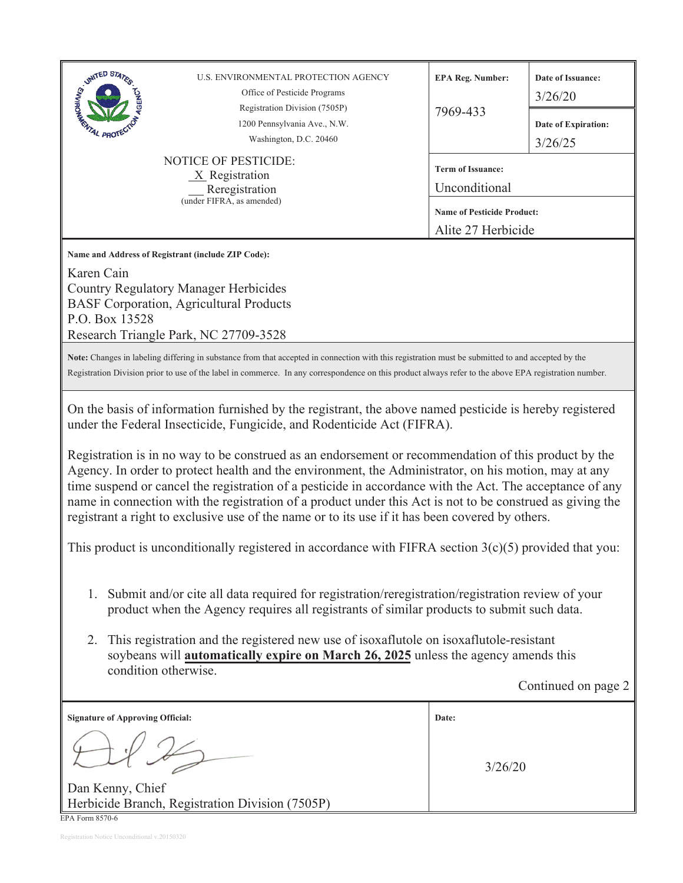| STRATED STATES<br>U.S. ENVIRONMENTAL PROTECTION AGENCY<br>Office of Pesticide Programs<br>Registration Division (7505P)<br>1200 Pennsylvania Ave., N.W.<br>Washington, D.C. 20460                                                                                                                                                                                                                                                                                                                                                                                                                                                                                                                                                                                                                                                                                                                                                                                                                                                                                                                                                                                                                                                                                                            | <b>EPA Reg. Number:</b><br>7969-433                                                                  | Date of Issuance:<br>3/26/20<br>Date of Expiration:<br>3/26/25 |  |  |  |  |
|----------------------------------------------------------------------------------------------------------------------------------------------------------------------------------------------------------------------------------------------------------------------------------------------------------------------------------------------------------------------------------------------------------------------------------------------------------------------------------------------------------------------------------------------------------------------------------------------------------------------------------------------------------------------------------------------------------------------------------------------------------------------------------------------------------------------------------------------------------------------------------------------------------------------------------------------------------------------------------------------------------------------------------------------------------------------------------------------------------------------------------------------------------------------------------------------------------------------------------------------------------------------------------------------|------------------------------------------------------------------------------------------------------|----------------------------------------------------------------|--|--|--|--|
| <b>NOTICE OF PESTICIDE:</b><br>$X$ Registration<br>Reregistration<br>(under FIFRA, as amended)                                                                                                                                                                                                                                                                                                                                                                                                                                                                                                                                                                                                                                                                                                                                                                                                                                                                                                                                                                                                                                                                                                                                                                                               | <b>Term of Issuance:</b><br>Unconditional<br><b>Name of Pesticide Product:</b><br>Alite 27 Herbicide |                                                                |  |  |  |  |
| Name and Address of Registrant (include ZIP Code):<br>Karen Cain<br><b>Country Regulatory Manager Herbicides</b><br><b>BASF Corporation, Agricultural Products</b><br>P.O. Box 13528<br>Research Triangle Park, NC 27709-3528                                                                                                                                                                                                                                                                                                                                                                                                                                                                                                                                                                                                                                                                                                                                                                                                                                                                                                                                                                                                                                                                |                                                                                                      |                                                                |  |  |  |  |
| Note: Changes in labeling differing in substance from that accepted in connection with this registration must be submitted to and accepted by the<br>Registration Division prior to use of the label in commerce. In any correspondence on this product always refer to the above EPA registration number.                                                                                                                                                                                                                                                                                                                                                                                                                                                                                                                                                                                                                                                                                                                                                                                                                                                                                                                                                                                   |                                                                                                      |                                                                |  |  |  |  |
| On the basis of information furnished by the registrant, the above named pesticide is hereby registered<br>under the Federal Insecticide, Fungicide, and Rodenticide Act (FIFRA).<br>Registration is in no way to be construed as an endorsement or recommendation of this product by the<br>Agency. In order to protect health and the environment, the Administrator, on his motion, may at any<br>time suspend or cancel the registration of a pesticide in accordance with the Act. The acceptance of any<br>name in connection with the registration of a product under this Act is not to be construed as giving the<br>registrant a right to exclusive use of the name or to its use if it has been covered by others.<br>This product is unconditionally registered in accordance with FIFRA section $3(c)(5)$ provided that you:<br>Submit and/or cite all data required for registration/reregistration/registration review of your<br>1.<br>product when the Agency requires all registrants of similar products to submit such data.<br>This registration and the registered new use of isoxaflutole on isoxaflutole-resistant<br>2.<br>soybeans will <b>automatically expire on March 26, 2025</b> unless the agency amends this<br>condition otherwise.<br>Continued on page 2 |                                                                                                      |                                                                |  |  |  |  |
| <b>Signature of Approving Official:</b>                                                                                                                                                                                                                                                                                                                                                                                                                                                                                                                                                                                                                                                                                                                                                                                                                                                                                                                                                                                                                                                                                                                                                                                                                                                      | Date:                                                                                                |                                                                |  |  |  |  |
| Dan Kenny, Chief<br>Herbicide Branch, Registration Division (7505P)                                                                                                                                                                                                                                                                                                                                                                                                                                                                                                                                                                                                                                                                                                                                                                                                                                                                                                                                                                                                                                                                                                                                                                                                                          | 3/26/20                                                                                              |                                                                |  |  |  |  |

EPA Form 8570-6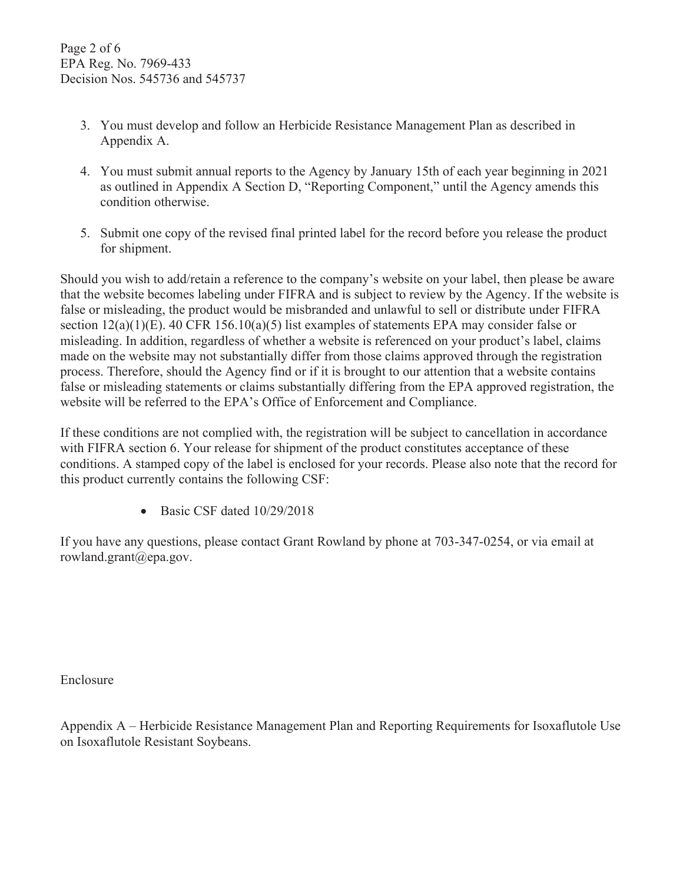- 3. You must develop and follow an Herbicide Resistance Management Plan as described in Appendix A.
- 4. You must submit annual reports to the Agency by January 15th of each year beginning in 2021 as outlined in Appendix A Section D, "Reporting Component," until the Agency amends this condition otherwise.
- 5. Submit one copy of the revised final printed label for the record before you release the product for shipment.

Should you wish to add/retain a reference to the company's website on your label, then please be aware that the website becomes labeling under FIFRA and is subject to review by the Agency. If the website is false or misleading, the product would be misbranded and unlawful to sell or distribute under FIFRA section 12(a)(1)(E). 40 CFR 156.10(a)(5) list examples of statements EPA may consider false or misleading. In addition, regardless of whether a website is referenced on your product's label, claims made on the website may not substantially differ from those claims approved through the registration process. Therefore, should the Agency find or if it is brought to our attention that a website contains false or misleading statements or claims substantially differing from the EPA approved registration, the website will be referred to the EPA's Office of Enforcement and Compliance.

If these conditions are not complied with, the registration will be subject to cancellation in accordance with FIFRA section 6. Your release for shipment of the product constitutes acceptance of these conditions. A stamped copy of the label is enclosed for your records. Please also note that the record for this product currently contains the following CSF:

 $\bullet$  Basic CSF dated  $10/29/2018$ 

If you have any questions, please contact Grant Rowland by phone at 703-347-0254, or via email at rowland.grant@epa.gov.

Enclosure

Appendix A – Herbicide Resistance Management Plan and Reporting Requirements for Isoxaflutole Use on Isoxaflutole Resistant Soybeans.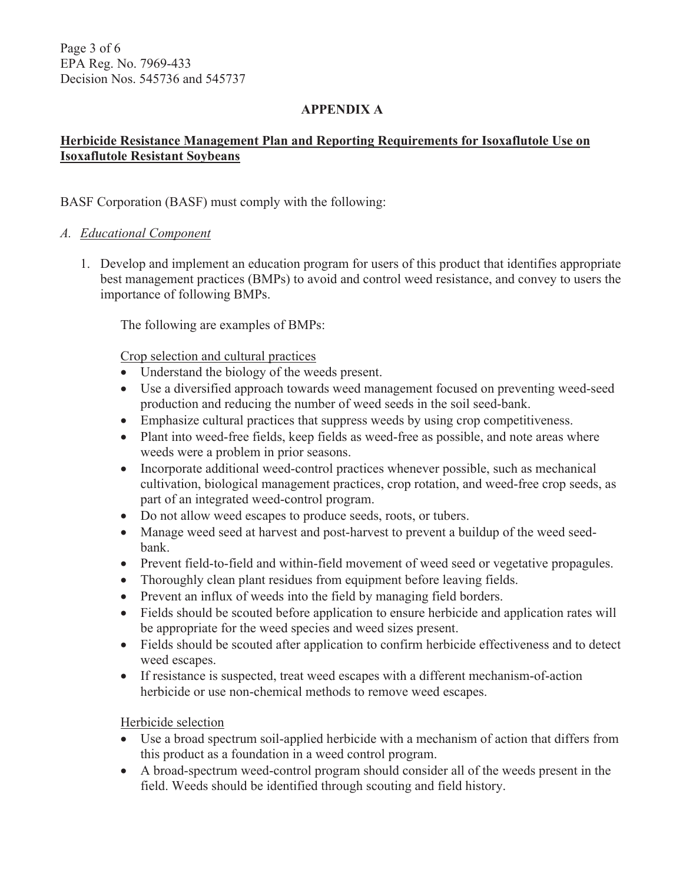Page 3 of 6 EPA Reg. No. 7969-433 Decision Nos. 545736 and 545737

## **APPENDIX A**

## **Herbicide Resistance Management Plan and Reporting Requirements for Isoxaflutole Use on Isoxaflutole Resistant Soybeans**

## BASF Corporation (BASF) must comply with the following:

## *A. Educational Component*

1. Develop and implement an education program for users of this product that identifies appropriate best management practices (BMPs) to avoid and control weed resistance, and convey to users the importance of following BMPs.

The following are examples of BMPs:

Crop selection and cultural practices

- Understand the biology of the weeds present.
- Use a diversified approach towards weed management focused on preventing weed-seed production and reducing the number of weed seeds in the soil seed-bank.
- Emphasize cultural practices that suppress weeds by using crop competitiveness.
- Plant into weed-free fields, keep fields as weed-free as possible, and note areas where weeds were a problem in prior seasons.
- $\bullet$  Incorporate additional weed-control practices whenever possible, such as mechanical cultivation, biological management practices, crop rotation, and weed-free crop seeds, as part of an integrated weed-control program.
- Do not allow weed escapes to produce seeds, roots, or tubers.
- Manage weed seed at harvest and post-harvest to prevent a buildup of the weed seedbank.
- Prevent field-to-field and within-field movement of weed seed or vegetative propagules.
- Thoroughly clean plant residues from equipment before leaving fields.
- Prevent an influx of weeds into the field by managing field borders.
- Fields should be scouted before application to ensure herbicide and application rates will be appropriate for the weed species and weed sizes present.
- Fields should be scouted after application to confirm herbicide effectiveness and to detect weed escapes.
- If resistance is suspected, treat weed escapes with a different mechanism-of-action herbicide or use non-chemical methods to remove weed escapes.

Herbicide selection

- Use a broad spectrum soil-applied herbicide with a mechanism of action that differs from this product as a foundation in a weed control program.
- A broad-spectrum weed-control program should consider all of the weeds present in the field. Weeds should be identified through scouting and field history.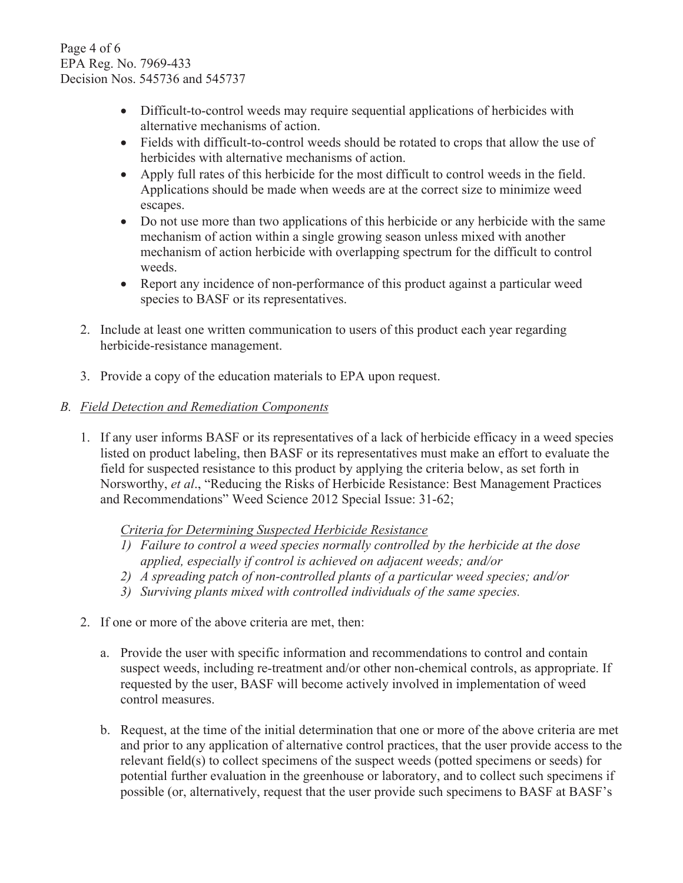Page 4 of 6 EPA Reg. No. 7969-433 Decision Nos. 545736 and 545737

- Difficult-to-control weeds may require sequential applications of herbicides with alternative mechanisms of action.
- Fields with difficult-to-control weeds should be rotated to crops that allow the use of herbicides with alternative mechanisms of action.
- Apply full rates of this herbicide for the most difficult to control weeds in the field. Applications should be made when weeds are at the correct size to minimize weed escapes.
- Do not use more than two applications of this herbicide or any herbicide with the same mechanism of action within a single growing season unless mixed with another mechanism of action herbicide with overlapping spectrum for the difficult to control weeds.
- Report any incidence of non-performance of this product against a particular weed species to BASF or its representatives.
- 2. Include at least one written communication to users of this product each year regarding herbicide-resistance management.
- 3. Provide a copy of the education materials to EPA upon request.

## *B. Field Detection and Remediation Components*

1. If any user informs BASF or its representatives of a lack of herbicide efficacy in a weed species listed on product labeling, then BASF or its representatives must make an effort to evaluate the field for suspected resistance to this product by applying the criteria below, as set forth in Norsworthy, *et al*., "Reducing the Risks of Herbicide Resistance: Best Management Practices and Recommendations" Weed Science 2012 Special Issue: 31-62;

*Criteria for Determining Suspected Herbicide Resistance* 

- *1) Failure to control a weed species normally controlled by the herbicide at the dose applied, especially if control is achieved on adjacent weeds; and/or*
- *2) A spreading patch of non-controlled plants of a particular weed species; and/or*
- *3) Surviving plants mixed with controlled individuals of the same species.*
- 2. If one or more of the above criteria are met, then:
	- a. Provide the user with specific information and recommendations to control and contain suspect weeds, including re-treatment and/or other non-chemical controls, as appropriate. If requested by the user, BASF will become actively involved in implementation of weed control measures.
	- b. Request, at the time of the initial determination that one or more of the above criteria are met and prior to any application of alternative control practices, that the user provide access to the relevant field(s) to collect specimens of the suspect weeds (potted specimens or seeds) for potential further evaluation in the greenhouse or laboratory, and to collect such specimens if possible (or, alternatively, request that the user provide such specimens to BASF at BASF's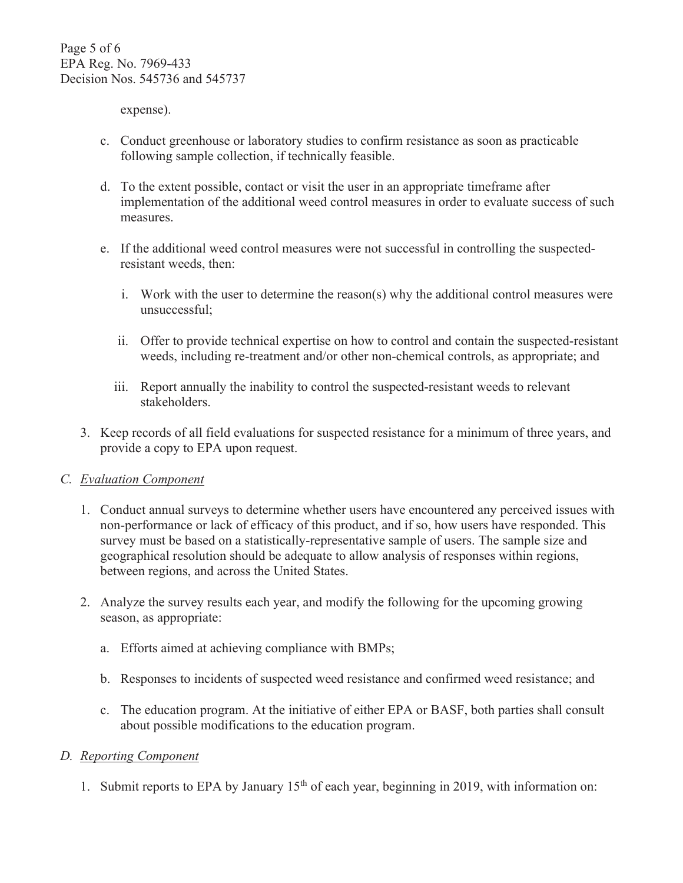expense).

- c. Conduct greenhouse or laboratory studies to confirm resistance as soon as practicable following sample collection, if technically feasible.
- d. To the extent possible, contact or visit the user in an appropriate timeframe after implementation of the additional weed control measures in order to evaluate success of such measures.
- e. If the additional weed control measures were not successful in controlling the suspectedresistant weeds, then:
	- i. Work with the user to determine the reason(s) why the additional control measures were unsuccessful;
	- ii. Offer to provide technical expertise on how to control and contain the suspected-resistant weeds, including re-treatment and/or other non-chemical controls, as appropriate; and
	- iii. Report annually the inability to control the suspected-resistant weeds to relevant stakeholders.
- 3. Keep records of all field evaluations for suspected resistance for a minimum of three years, and provide a copy to EPA upon request.

## *C. Evaluation Component*

- 1. Conduct annual surveys to determine whether users have encountered any perceived issues with non-performance or lack of efficacy of this product, and if so, how users have responded. This survey must be based on a statistically-representative sample of users. The sample size and geographical resolution should be adequate to allow analysis of responses within regions, between regions, and across the United States.
- 2. Analyze the survey results each year, and modify the following for the upcoming growing season, as appropriate:
	- a. Efforts aimed at achieving compliance with BMPs;
	- b. Responses to incidents of suspected weed resistance and confirmed weed resistance; and
	- c. The education program. At the initiative of either EPA or BASF, both parties shall consult about possible modifications to the education program.

## *D. Reporting Component*

1. Submit reports to EPA by January  $15<sup>th</sup>$  of each year, beginning in 2019, with information on: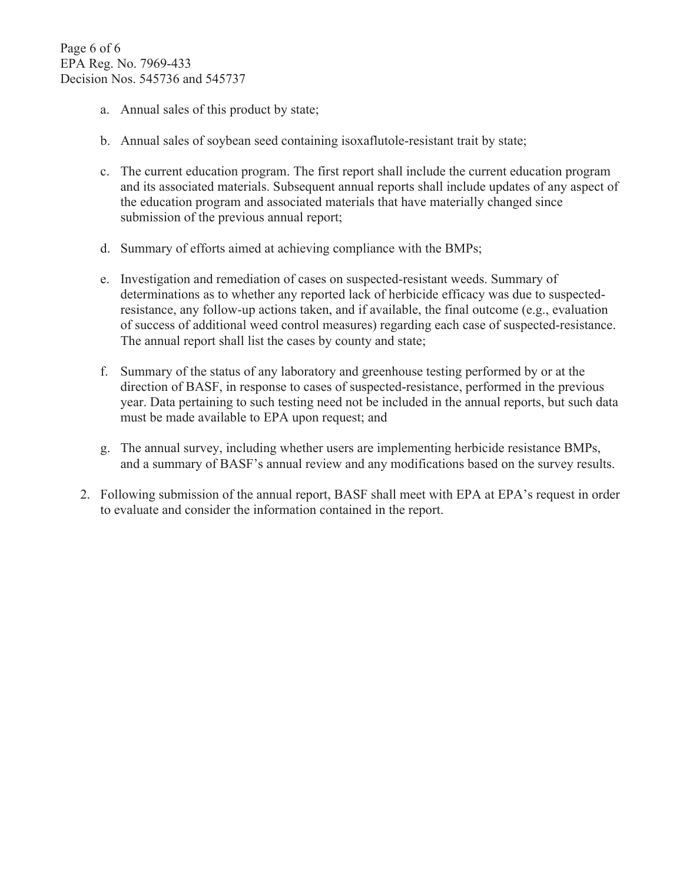- a. Annual sales of this product by state;
- b. Annual sales of soybean seed containing isoxaflutole-resistant trait by state;
- c. The current education program. The first report shall include the current education program and its associated materials. Subsequent annual reports shall include updates of any aspect of the education program and associated materials that have materially changed since submission of the previous annual report;
- d. Summary of efforts aimed at achieving compliance with the BMPs;
- e. Investigation and remediation of cases on suspected-resistant weeds. Summary of determinations as to whether any reported lack of herbicide efficacy was due to suspectedresistance, any follow-up actions taken, and if available, the final outcome (e.g., evaluation of success of additional weed control measures) regarding each case of suspected-resistance. The annual report shall list the cases by county and state;
- f. Summary of the status of any laboratory and greenhouse testing performed by or at the direction of BASF, in response to cases of suspected-resistance, performed in the previous year. Data pertaining to such testing need not be included in the annual reports, but such data must be made available to EPA upon request; and
- g. The annual survey, including whether users are implementing herbicide resistance BMPs, and a summary of BASF's annual review and any modifications based on the survey results.
- 2. Following submission of the annual report, BASF shall meet with EPA at EPA's request in order to evaluate and consider the information contained in the report.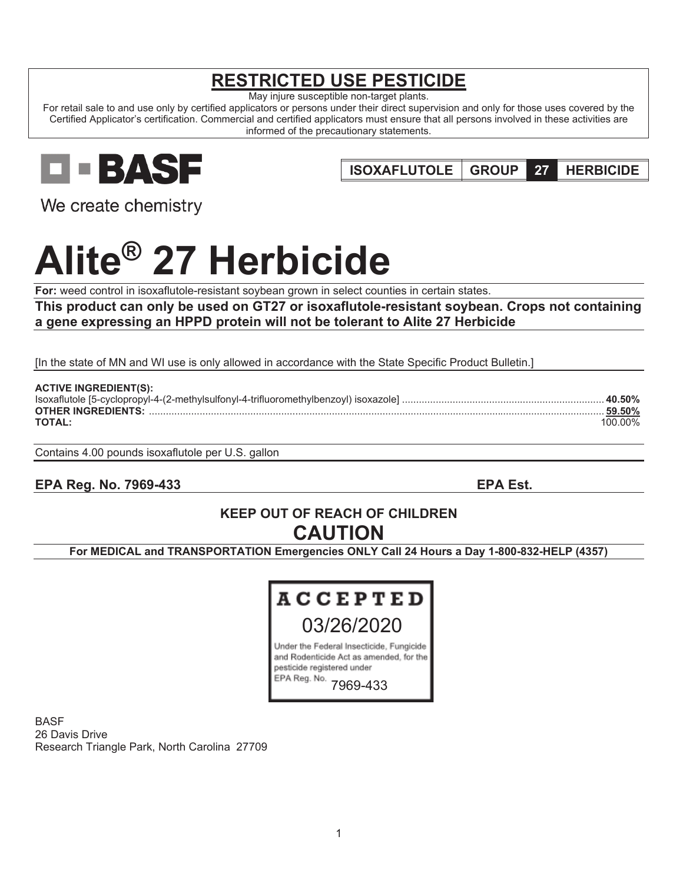# **RESTRICTED USE PESTICIDE**

May injure susceptible non-target plants.

For retail sale to and use only by certified applicators or persons under their direct supervision and only for those uses covered by the Certified Applicator's certification. Commercial and certified applicators must ensure that all persons involved in these activities are informed of the precautionary statements.

**EBASE** 

**ISOXAFLUTOLE GROUP 27 HERBICIDE** 

We create chemistry

# **Alite® 27 Herbicide**

**For:** weed control in isoxaflutole-resistant soybean grown in select counties in certain states.

**This product can only be used on GT27 or isoxaflutole-resistant soybean. Crops not containing a gene expressing an HPPD protein will not be tolerant to Alite 27 Herbicide** 

[In the state of MN and WI use is only allowed in accordance with the State Specific Product Bulletin.]

| <b>ACTIVE INGREDIENT(S):</b> |          |
|------------------------------|----------|
|                              | . 40.50% |
| <b>OTHER INGREDIENTS:</b>    | . 59.50% |
| <b>TOTAL:</b>                | 100.00%  |

Contains 4.00 pounds isoxaflutole per U.S. gallon

**EPA Reg. No. 7969-433 EPA Est.** 

# **KEEP OUT OF REACH OF CHILDREN CAUTION**

**For MEDICAL and TRANSPORTATION Emergencies ONLY Call 24 Hours a Day 1-800-832-HELP (4357)** 



BASF 26 Davis Drive Research Triangle Park, North Carolina 27709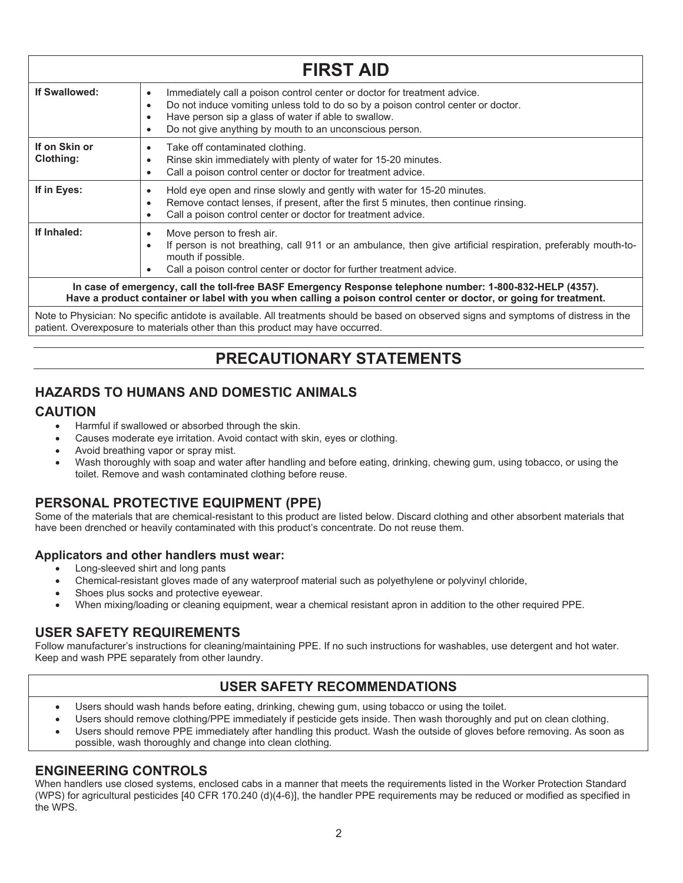|                                                                                                                                                                                                                                 | <b>FIRST AID</b>                                                                                                                                                                                                                                                                                                             |  |  |  |  |  |
|---------------------------------------------------------------------------------------------------------------------------------------------------------------------------------------------------------------------------------|------------------------------------------------------------------------------------------------------------------------------------------------------------------------------------------------------------------------------------------------------------------------------------------------------------------------------|--|--|--|--|--|
| If Swallowed:                                                                                                                                                                                                                   | Immediately call a poison control center or doctor for treatment advice.<br>$\bullet$<br>Do not induce vomiting unless told to do so by a poison control center or doctor.<br>$\bullet$<br>Have person sip a glass of water if able to swallow.<br>٠<br>Do not give anything by mouth to an unconscious person.<br>$\bullet$ |  |  |  |  |  |
| If on Skin or<br>Clothing:                                                                                                                                                                                                      | Take off contaminated clothing.<br>$\bullet$<br>Rinse skin immediately with plenty of water for 15-20 minutes.<br>٠<br>Call a poison control center or doctor for treatment advice.<br>$\bullet$                                                                                                                             |  |  |  |  |  |
| If in Eyes:                                                                                                                                                                                                                     | Hold eye open and rinse slowly and gently with water for 15-20 minutes.<br>$\bullet$<br>Remove contact lenses, if present, after the first 5 minutes, then continue rinsing.<br>$\bullet$<br>Call a poison control center or doctor for treatment advice.<br>$\bullet$                                                       |  |  |  |  |  |
| If Inhaled:                                                                                                                                                                                                                     | Move person to fresh air.<br>$\bullet$<br>If person is not breathing, call 911 or an ambulance, then give artificial respiration, preferably mouth-to-<br>$\bullet$<br>mouth if possible.<br>Call a poison control center or doctor for further treatment advice.<br>٠                                                       |  |  |  |  |  |
| In case of emergency, call the toll-free BASF Emergency Response telephone number: 1-800-832-HELP (4357).<br>Have a product container or label with you when calling a poison control center or doctor, or going for treatment. |                                                                                                                                                                                                                                                                                                                              |  |  |  |  |  |
|                                                                                                                                                                                                                                 | Note to Physician: No specific antidote is available. All treatments should be based on observed signs and symptoms of distress in the                                                                                                                                                                                       |  |  |  |  |  |

Note to Physician: No specific antidote is available. All treatments should be based on observed signs and symptoms of distress in the patient. Overexposure to materials other than this product may have occurred.

# **PRECAUTIONARY STATEMENTS**

## **HAZARDS TO HUMANS AND DOMESTIC ANIMALS**

## **CAUTION**

- Harmful if swallowed or absorbed through the skin.
- Causes moderate eye irritation. Avoid contact with skin, eyes or clothing.
- Avoid breathing vapor or spray mist.
- Wash thoroughly with soap and water after handling and before eating, drinking, chewing gum, using tobacco, or using the toilet. Remove and wash contaminated clothing before reuse.

## **PERSONAL PROTECTIVE EQUIPMENT (PPE)**

Some of the materials that are chemical-resistant to this product are listed below. Discard clothing and other absorbent materials that have been drenched or heavily contaminated with this product's concentrate. Do not reuse them.

## **Applicators and other handlers must wear:**

- Long-sleeved shirt and long pants
- Chemical-resistant gloves made of any waterproof material such as polyethylene or polyvinyl chloride,
- Shoes plus socks and protective eyewear.
- When mixing/loading or cleaning equipment, wear a chemical resistant apron in addition to the other required PPE.

## **USER SAFETY REQUIREMENTS**

Follow manufacturer's instructions for cleaning/maintaining PPE. If no such instructions for washables, use detergent and hot water. Keep and wash PPE separately from other laundry.

## **USER SAFETY RECOMMENDATIONS**

- Users should wash hands before eating, drinking, chewing gum, using tobacco or using the toilet.
- Users should remove clothing/PPE immediately if pesticide gets inside. Then wash thoroughly and put on clean clothing.
- Users should remove PPE immediately after handling this product. Wash the outside of gloves before removing. As soon as possible, wash thoroughly and change into clean clothing.

## **ENGINEERING CONTROLS**

When handlers use closed systems, enclosed cabs in a manner that meets the requirements listed in the Worker Protection Standard (WPS) for agricultural pesticides [40 CFR 170.240 (d)(4-6)], the handler PPE requirements may be reduced or modified as specified in the WPS.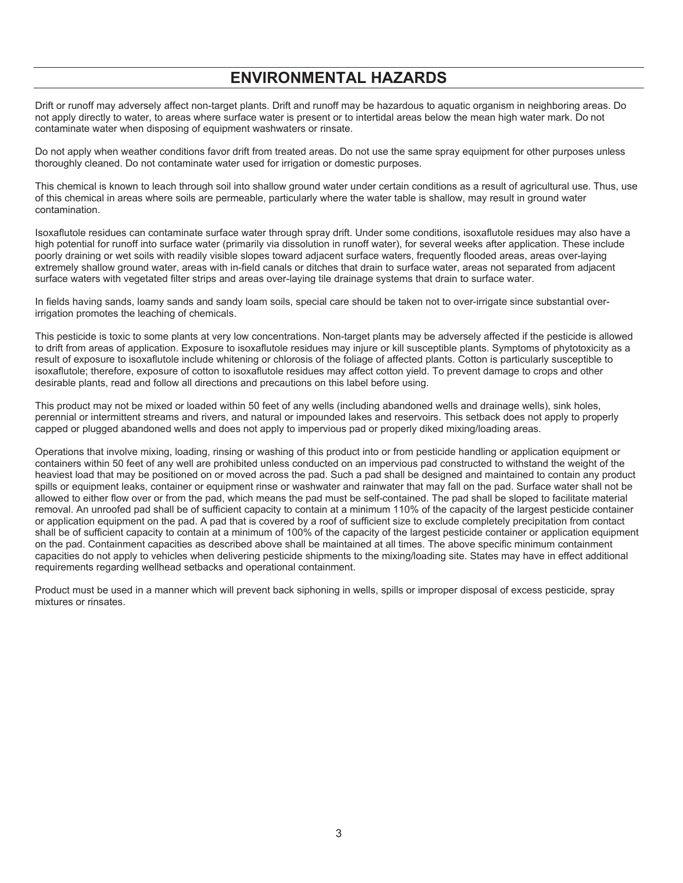# **ENVIRONMENTAL HAZARDS**

Drift or runoff may adversely affect non-target plants. Drift and runoff may be hazardous to aquatic organism in neighboring areas. Do not apply directly to water, to areas where surface water is present or to intertidal areas below the mean high water mark. Do not contaminate water when disposing of equipment washwaters or rinsate.

Do not apply when weather conditions favor drift from treated areas. Do not use the same spray equipment for other purposes unless thoroughly cleaned. Do not contaminate water used for irrigation or domestic purposes.

This chemical is known to leach through soil into shallow ground water under certain conditions as a result of agricultural use. Thus, use of this chemical in areas where soils are permeable, particularly where the water table is shallow, may result in ground water contamination.

Isoxaflutole residues can contaminate surface water through spray drift. Under some conditions, isoxaflutole residues may also have a high potential for runoff into surface water (primarily via dissolution in runoff water), for several weeks after application. These include poorly draining or wet soils with readily visible slopes toward adjacent surface waters, frequently flooded areas, areas over-laying extremely shallow ground water, areas with in-field canals or ditches that drain to surface water, areas not separated from adjacent surface waters with vegetated filter strips and areas over-laying tile drainage systems that drain to surface water.

In fields having sands, loamy sands and sandy loam soils, special care should be taken not to over-irrigate since substantial overirrigation promotes the leaching of chemicals.

This pesticide is toxic to some plants at very low concentrations. Non-target plants may be adversely affected if the pesticide is allowed to drift from areas of application. Exposure to isoxaflutole residues may injure or kill susceptible plants. Symptoms of phytotoxicity as a result of exposure to isoxaflutole include whitening or chlorosis of the foliage of affected plants. Cotton is particularly susceptible to isoxaflutole; therefore, exposure of cotton to isoxaflutole residues may affect cotton yield. To prevent damage to crops and other desirable plants, read and follow all directions and precautions on this label before using.

This product may not be mixed or loaded within 50 feet of any wells (including abandoned wells and drainage wells), sink holes, perennial or intermittent streams and rivers, and natural or impounded lakes and reservoirs. This setback does not apply to properly capped or plugged abandoned wells and does not apply to impervious pad or properly diked mixing/loading areas.

Operations that involve mixing, loading, rinsing or washing of this product into or from pesticide handling or application equipment or containers within 50 feet of any well are prohibited unless conducted on an impervious pad constructed to withstand the weight of the heaviest load that may be positioned on or moved across the pad. Such a pad shall be designed and maintained to contain any product spills or equipment leaks, container or equipment rinse or washwater and rainwater that may fall on the pad. Surface water shall not be allowed to either flow over or from the pad, which means the pad must be self-contained. The pad shall be sloped to facilitate material removal. An unroofed pad shall be of sufficient capacity to contain at a minimum 110% of the capacity of the largest pesticide container or application equipment on the pad. A pad that is covered by a roof of sufficient size to exclude completely precipitation from contact shall be of sufficient capacity to contain at a minimum of 100% of the capacity of the largest pesticide container or application equipment on the pad. Containment capacities as described above shall be maintained at all times. The above specific minimum containment capacities do not apply to vehicles when delivering pesticide shipments to the mixing/loading site. States may have in effect additional requirements regarding wellhead setbacks and operational containment.

Product must be used in a manner which will prevent back siphoning in wells, spills or improper disposal of excess pesticide, spray mixtures or rinsates.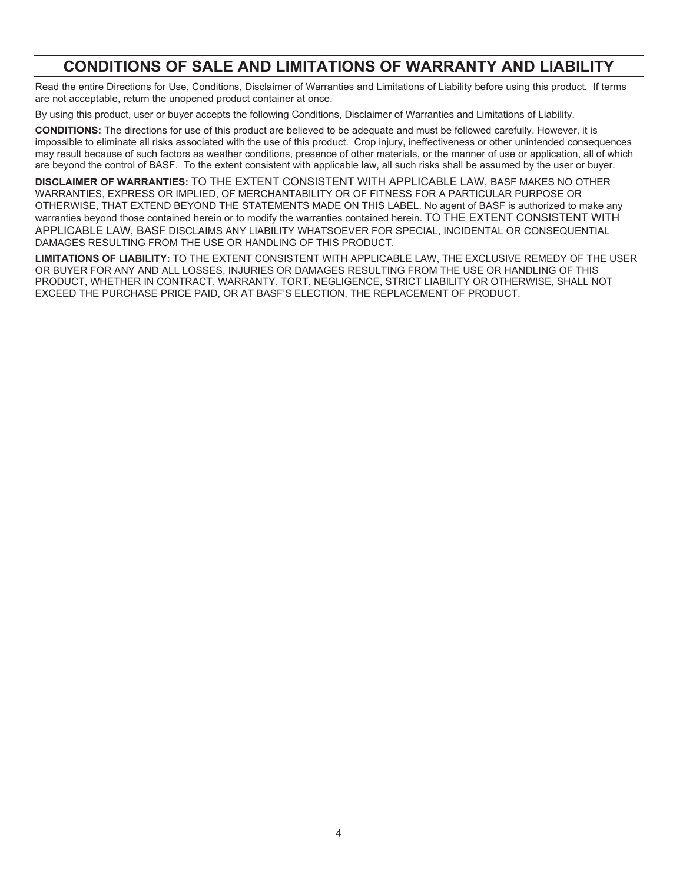# **CONDITIONS OF SALE AND LIMITATIONS OF WARRANTY AND LIABILITY**

Read the entire Directions for Use, Conditions, Disclaimer of Warranties and Limitations of Liability before using this product. If terms are not acceptable, return the unopened product container at once.

By using this product, user or buyer accepts the following Conditions, Disclaimer of Warranties and Limitations of Liability.

**CONDITIONS:** The directions for use of this product are believed to be adequate and must be followed carefully. However, it is impossible to eliminate all risks associated with the use of this product. Crop injury, ineffectiveness or other unintended consequences may result because of such factors as weather conditions, presence of other materials, or the manner of use or application, all of which are beyond the control of BASF. To the extent consistent with applicable law, all such risks shall be assumed by the user or buyer.

**DISCLAIMER OF WARRANTIES:** TO THE EXTENT CONSISTENT WITH APPLICABLE LAW, BASF MAKES NO OTHER WARRANTIES, EXPRESS OR IMPLIED, OF MERCHANTABILITY OR OF FITNESS FOR A PARTICULAR PURPOSE OR OTHERWISE, THAT EXTEND BEYOND THE STATEMENTS MADE ON THIS LABEL. No agent of BASF is authorized to make any warranties beyond those contained herein or to modify the warranties contained herein. TO THE EXTENT CONSISTENT WITH APPLICABLE LAW, BASF DISCLAIMS ANY LIABILITY WHATSOEVER FOR SPECIAL, INCIDENTAL OR CONSEQUENTIAL DAMAGES RESULTING FROM THE USE OR HANDLING OF THIS PRODUCT.

**LIMITATIONS OF LIABILITY:** TO THE EXTENT CONSISTENT WITH APPLICABLE LAW, THE EXCLUSIVE REMEDY OF THE USER OR BUYER FOR ANY AND ALL LOSSES, INJURIES OR DAMAGES RESULTING FROM THE USE OR HANDLING OF THIS PRODUCT, WHETHER IN CONTRACT, WARRANTY, TORT, NEGLIGENCE, STRICT LIABILITY OR OTHERWISE, SHALL NOT EXCEED THE PURCHASE PRICE PAID, OR AT BASF'S ELECTION, THE REPLACEMENT OF PRODUCT.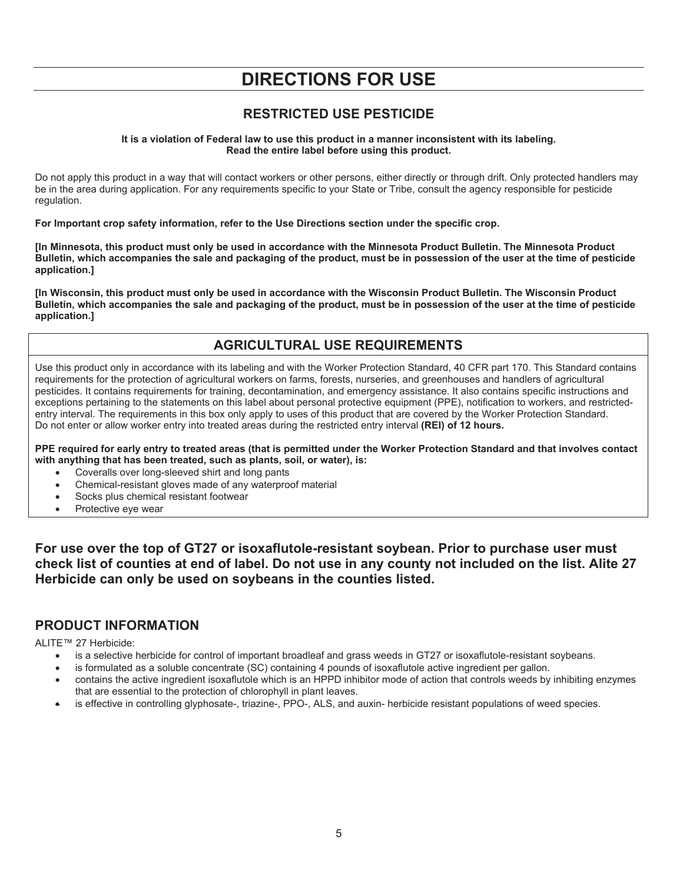# **DIRECTIONS FOR USE**

## **RESTRICTED USE PESTICIDE**

**It is a violation of Federal law to use this product in a manner inconsistent with its labeling. Read the entire label before using this product.** 

Do not apply this product in a way that will contact workers or other persons, either directly or through drift. Only protected handlers may be in the area during application. For any requirements specific to your State or Tribe, consult the agency responsible for pesticide regulation.

**For Important crop safety information, refer to the Use Directions section under the specific crop.** 

**[In Minnesota, this product must only be used in accordance with the Minnesota Product Bulletin. The Minnesota Product Bulletin, which accompanies the sale and packaging of the product, must be in possession of the user at the time of pesticide application.]** 

**[In Wisconsin, this product must only be used in accordance with the Wisconsin Product Bulletin. The Wisconsin Product Bulletin, which accompanies the sale and packaging of the product, must be in possession of the user at the time of pesticide application.]** 

## **AGRICULTURAL USE REQUIREMENTS**

Use this product only in accordance with its labeling and with the Worker Protection Standard, 40 CFR part 170. This Standard contains requirements for the protection of agricultural workers on farms, forests, nurseries, and greenhouses and handlers of agricultural pesticides. It contains requirements for training, decontamination, and emergency assistance. It also contains specific instructions and exceptions pertaining to the statements on this label about personal protective equipment (PPE), notification to workers, and restrictedentry interval. The requirements in this box only apply to uses of this product that are covered by the Worker Protection Standard. Do not enter or allow worker entry into treated areas during the restricted entry interval **(REI) of 12 hours.** 

**PPE required for early entry to treated areas (that is permitted under the Worker Protection Standard and that involves contact with anything that has been treated, such as plants, soil, or water), is:**

- Coveralls over long-sleeved shirt and long pants
- Chemical-resistant gloves made of any waterproof material
- Socks plus chemical resistant footwear
- Protective eye wear

**For use over the top of GT27 or isoxaflutole-resistant soybean. Prior to purchase user must check list of counties at end of label. Do not use in any county not included on the list. Alite 27 Herbicide can only be used on soybeans in the counties listed.** 

## **PRODUCT INFORMATION**

ALITE™ 27 Herbicide:

- is a selective herbicide for control of important broadleaf and grass weeds in GT27 or isoxaflutole-resistant soybeans.
- is formulated as a soluble concentrate (SC) containing 4 pounds of isoxaflutole active ingredient per gallon.
- contains the active ingredient isoxaflutole which is an HPPD inhibitor mode of action that controls weeds by inhibiting enzymes that are essential to the protection of chlorophyll in plant leaves.
- is effective in controlling glyphosate-, triazine-, PPO-, ALS, and auxin- herbicide resistant populations of weed species.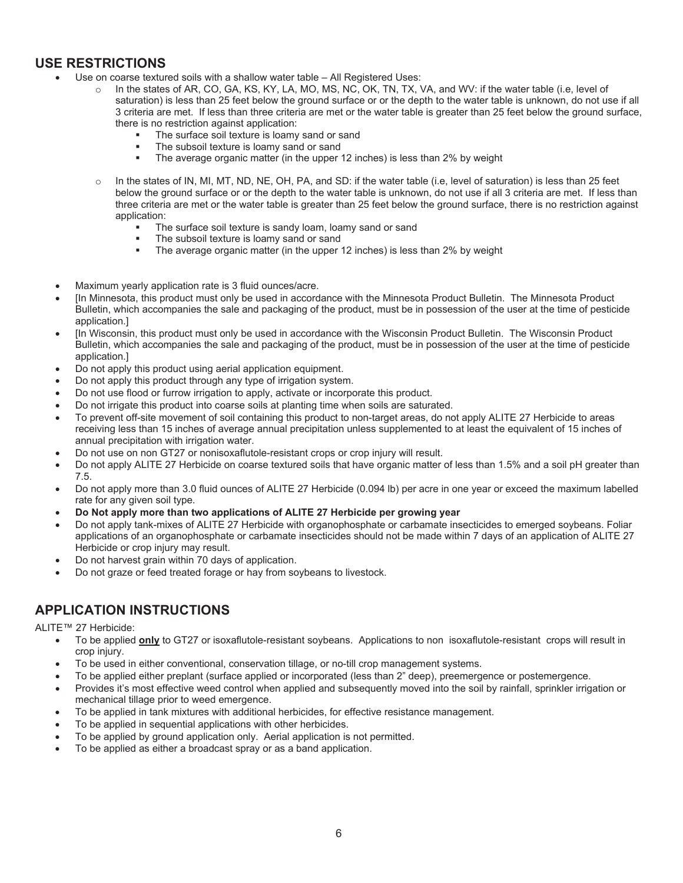## **USE RESTRICTIONS**

- Use on coarse textured soils with a shallow water table  $-$  All Registered Uses:
	- o In the states of AR, CO, GA, KS, KY, LA, MO, MS, NC, OK, TN, TX, VA, and WV: if the water table (i.e, level of saturation) is less than 25 feet below the ground surface or or the depth to the water table is unknown, do not use if all 3 criteria are met. If less than three criteria are met or the water table is greater than 25 feet below the ground surface, there is no restriction against application:
		- The surface soil texture is loamy sand or sand
		- The subsoil texture is loamy sand or sand
		- The average organic matter (in the upper 12 inches) is less than 2% by weight
	- $\circ$  In the states of IN, MI, MT, ND, NE, OH, PA, and SD: if the water table (i.e, level of saturation) is less than 25 feet below the ground surface or or the depth to the water table is unknown, do not use if all 3 criteria are met. If less than three criteria are met or the water table is greater than 25 feet below the ground surface, there is no restriction against application:
		- The surface soil texture is sandy loam, loamy sand or sand
		- The subsoil texture is loamy sand or sand
		- The average organic matter (in the upper 12 inches) is less than 2% by weight
	- Maximum yearly application rate is 3 fluid ounces/acre.
- [In Minnesota, this product must only be used in accordance with the Minnesota Product Bulletin. The Minnesota Product Bulletin, which accompanies the sale and packaging of the product, must be in possession of the user at the time of pesticide application.]
- x [In Wisconsin, this product must only be used in accordance with the Wisconsin Product Bulletin. The Wisconsin Product Bulletin, which accompanies the sale and packaging of the product, must be in possession of the user at the time of pesticide application.]
- Do not apply this product using aerial application equipment.
- Do not apply this product through any type of irrigation system.
- Do not use flood or furrow irrigation to apply, activate or incorporate this product.
- Do not irrigate this product into coarse soils at planting time when soils are saturated.
- To prevent off-site movement of soil containing this product to non-target areas, do not apply ALITE 27 Herbicide to areas receiving less than 15 inches of average annual precipitation unless supplemented to at least the equivalent of 15 inches of annual precipitation with irrigation water.
- Do not use on non GT27 or nonisoxaflutole-resistant crops or crop injury will result.
- Do not apply ALITE 27 Herbicide on coarse textured soils that have organic matter of less than 1.5% and a soil pH greater than 7.5.
- Do not apply more than 3.0 fluid ounces of ALITE 27 Herbicide (0.094 lb) per acre in one year or exceed the maximum labelled rate for any given soil type.
- Do Not apply more than two applications of **ALITE 27 Herbicide per growing year**
- Do not apply tank-mixes of ALITE 27 Herbicide with organophosphate or carbamate insecticides to emerged soybeans. Foliar applications of an organophosphate or carbamate insecticides should not be made within 7 days of an application of ALITE 27 Herbicide or crop injury may result.
- Do not harvest grain within 70 days of application.
- Do not graze or feed treated forage or hay from soybeans to livestock.

## **APPLICATION INSTRUCTIONS**

ALITE™ 27 Herbicide:

- To be applied **only** to GT27 or isoxaflutole-resistant soybeans. Applications to non isoxaflutole-resistant crops will result in crop injury.
- To be used in either conventional, conservation tillage, or no-till crop management systems.
- To be applied either preplant (surface applied or incorporated (less than 2" deep), preemergence or postemergence.
- Provides it's most effective weed control when applied and subsequently moved into the soil by rainfall, sprinkler irrigation or mechanical tillage prior to weed emergence.
- To be applied in tank mixtures with additional herbicides, for effective resistance management.
- To be applied in sequential applications with other herbicides.
- To be applied by ground application only. Aerial application is not permitted.
- To be applied as either a broadcast spray or as a band application.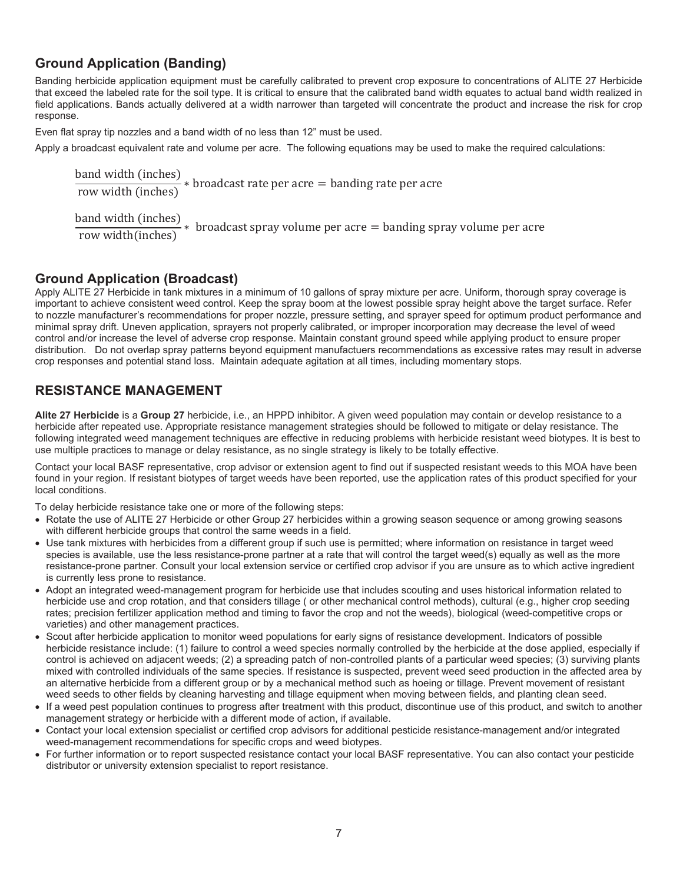## **Ground Application (Banding)**

Banding herbicide application equipment must be carefully calibrated to prevent crop exposure to concentrations of ALITE 27 Herbicide that exceed the labeled rate for the soil type. It is critical to ensure that the calibrated band width equates to actual band width realized in field applications. Bands actually delivered at a width narrower than targeted will concentrate the product and increase the risk for crop response.

Even flat spray tip nozzles and a band width of no less than 12" must be used.

Apply a broadcast equivalent rate and volume per acre. The following equations may be used to make the required calculations:

band width (inches)  $\frac{m}{\text{true}}$  (inches)  $*$  broadcast rate per acre  $=$  banding rate per acre row width (inches)

band width (inches)

 $\frac{m}{m}$  (increasing  $\frac{m}{m}$ )  $\frac{m}{m}$  broadcast spray volume per acre  $\frac{m}{m}$  banding spray volume per acre

## **Ground Application (Broadcast)**

Apply ALITE 27 Herbicide in tank mixtures in a minimum of 10 gallons of spray mixture per acre. Uniform, thorough spray coverage is important to achieve consistent weed control. Keep the spray boom at the lowest possible spray height above the target surface. Refer to nozzle manufacturer's recommendations for proper nozzle, pressure setting, and sprayer speed for optimum product performance and minimal spray drift. Uneven application, sprayers not properly calibrated, or improper incorporation may decrease the level of weed control and/or increase the level of adverse crop response. Maintain constant ground speed while applying product to ensure proper distribution. Do not overlap spray patterns beyond equipment manufactuers recommendations as excessive rates may result in adverse crop responses and potential stand loss. Maintain adequate agitation at all times, including momentary stops.

## **RESISTANCE MANAGEMENT**

**Alite 27 Herbicide** is a **Group 27** herbicide, i.e., an HPPD inhibitor. A given weed population may contain or develop resistance to a herbicide after repeated use. Appropriate resistance management strategies should be followed to mitigate or delay resistance. The following integrated weed management techniques are effective in reducing problems with herbicide resistant weed biotypes. It is best to use multiple practices to manage or delay resistance, as no single strategy is likely to be totally effective.

Contact your local BASF representative, crop advisor or extension agent to find out if suspected resistant weeds to this MOA have been found in your region. If resistant biotypes of target weeds have been reported, use the application rates of this product specified for your local conditions.

To delay herbicide resistance take one or more of the following steps:

- Rotate the use of ALITE 27 Herbicide or other Group 27 herbicides within a growing season sequence or among growing seasons with different herbicide groups that control the same weeds in a field.
- Use tank mixtures with herbicides from a different group if such use is permitted; where information on resistance in target weed species is available, use the less resistance-prone partner at a rate that will control the target weed(s) equally as well as the more resistance-prone partner. Consult your local extension service or certified crop advisor if you are unsure as to which active ingredient is currently less prone to resistance.
- Adopt an integrated weed-management program for herbicide use that includes scouting and uses historical information related to herbicide use and crop rotation, and that considers tillage ( or other mechanical control methods), cultural (e.g., higher crop seeding rates; precision fertilizer application method and timing to favor the crop and not the weeds), biological (weed-competitive crops or varieties) and other management practices.
- Scout after herbicide application to monitor weed populations for early signs of resistance development. Indicators of possible herbicide resistance include: (1) failure to control a weed species normally controlled by the herbicide at the dose applied, especially if control is achieved on adjacent weeds; (2) a spreading patch of non-controlled plants of a particular weed species; (3) surviving plants mixed with controlled individuals of the same species. If resistance is suspected, prevent weed seed production in the affected area by an alternative herbicide from a different group or by a mechanical method such as hoeing or tillage. Prevent movement of resistant weed seeds to other fields by cleaning harvesting and tillage equipment when moving between fields, and planting clean seed.
- If a weed pest population continues to progress after treatment with this product, discontinue use of this product, and switch to another management strategy or herbicide with a different mode of action, if available.
- x Contact your local extension specialist or certified crop advisors for additional pesticide resistance-management and/or integrated weed-management recommendations for specific crops and weed biotypes.
- For further information or to report suspected resistance contact your local BASF representative. You can also contact your pesticide distributor or university extension specialist to report resistance.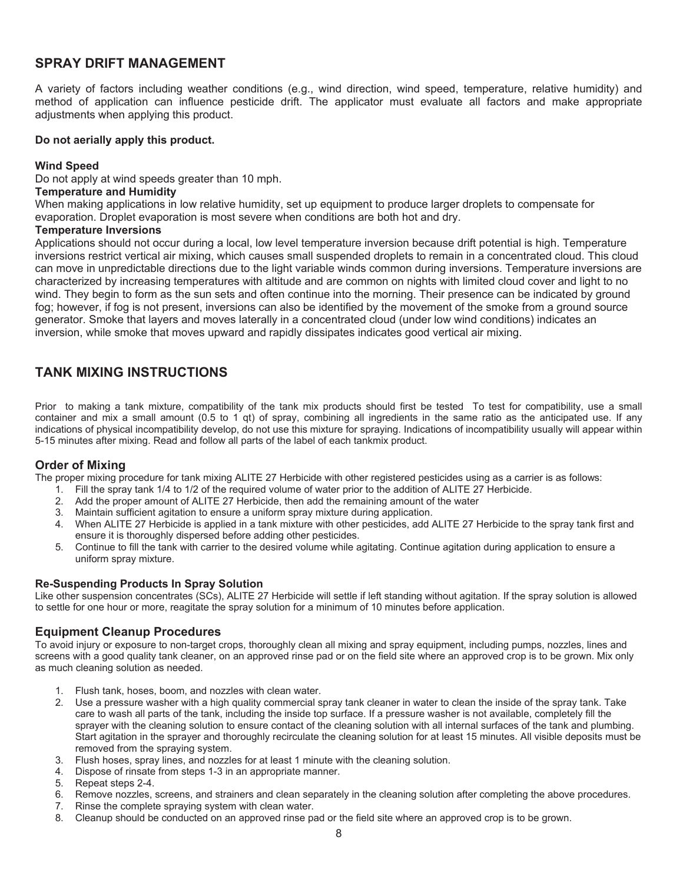## **SPRAY DRIFT MANAGEMENT**

A variety of factors including weather conditions (e.g., wind direction, wind speed, temperature, relative humidity) and method of application can influence pesticide drift. The applicator must evaluate all factors and make appropriate adjustments when applying this product.

#### **Do not aerially apply this product.**

#### **Wind Speed**

Do not apply at wind speeds greater than 10 mph.

#### **Temperature and Humidity**

When making applications in low relative humidity, set up equipment to produce larger droplets to compensate for evaporation. Droplet evaporation is most severe when conditions are both hot and dry.

#### **Temperature Inversions**

Applications should not occur during a local, low level temperature inversion because drift potential is high. Temperature inversions restrict vertical air mixing, which causes small suspended droplets to remain in a concentrated cloud. This cloud can move in unpredictable directions due to the light variable winds common during inversions. Temperature inversions are characterized by increasing temperatures with altitude and are common on nights with limited cloud cover and light to no wind. They begin to form as the sun sets and often continue into the morning. Their presence can be indicated by ground fog; however, if fog is not present, inversions can also be identified by the movement of the smoke from a ground source generator. Smoke that layers and moves laterally in a concentrated cloud (under low wind conditions) indicates an inversion, while smoke that moves upward and rapidly dissipates indicates good vertical air mixing.

## **TANK MIXING INSTRUCTIONS**

Prior to making a tank mixture, compatibility of the tank mix products should first be tested To test for compatibility, use a small container and mix a small amount (0.5 to 1 qt) of spray, combining all ingredients in the same ratio as the anticipated use. If any indications of physical incompatibility develop, do not use this mixture for spraying. Indications of incompatibility usually will appear within 5-15 minutes after mixing. Read and follow all parts of the label of each tankmix product.

#### **Order of Mixing**

The proper mixing procedure for tank mixing ALITE 27 Herbicide with other registered pesticides using as a carrier is as follows:

- 1. Fill the spray tank 1/4 to 1/2 of the required volume of water prior to the addition of ALITE 27 Herbicide.
- 2. Add the proper amount of ALITE 27 Herbicide, then add the remaining amount of the water
- 3. Maintain sufficient agitation to ensure a uniform spray mixture during application.
- 4. When ALITE 27 Herbicide is applied in a tank mixture with other pesticides, add ALITE 27 Herbicide to the spray tank first and ensure it is thoroughly dispersed before adding other pesticides.
- 5. Continue to fill the tank with carrier to the desired volume while agitating. Continue agitation during application to ensure a uniform spray mixture.

#### **Re-Suspending Products In Spray Solution**

Like other suspension concentrates (SCs), ALITE 27 Herbicide will settle if left standing without agitation. If the spray solution is allowed to settle for one hour or more, reagitate the spray solution for a minimum of 10 minutes before application.

#### **Equipment Cleanup Procedures**

To avoid injury or exposure to non-target crops, thoroughly clean all mixing and spray equipment, including pumps, nozzles, lines and screens with a good quality tank cleaner, on an approved rinse pad or on the field site where an approved crop is to be grown. Mix only as much cleaning solution as needed.

- 1. Flush tank, hoses, boom, and nozzles with clean water.
- 2. Use a pressure washer with a high quality commercial spray tank cleaner in water to clean the inside of the spray tank. Take care to wash all parts of the tank, including the inside top surface. If a pressure washer is not available, completely fill the sprayer with the cleaning solution to ensure contact of the cleaning solution with all internal surfaces of the tank and plumbing. Start agitation in the sprayer and thoroughly recirculate the cleaning solution for at least 15 minutes. All visible deposits must be removed from the spraying system.
- 3. Flush hoses, spray lines, and nozzles for at least 1 minute with the cleaning solution.
- 4. Dispose of rinsate from steps 1-3 in an appropriate manner.
- 5. Repeat steps 2-4.
- 6. Remove nozzles, screens, and strainers and clean separately in the cleaning solution after completing the above procedures.
- 7. Rinse the complete spraying system with clean water.
- 8. Cleanup should be conducted on an approved rinse pad or the field site where an approved crop is to be grown.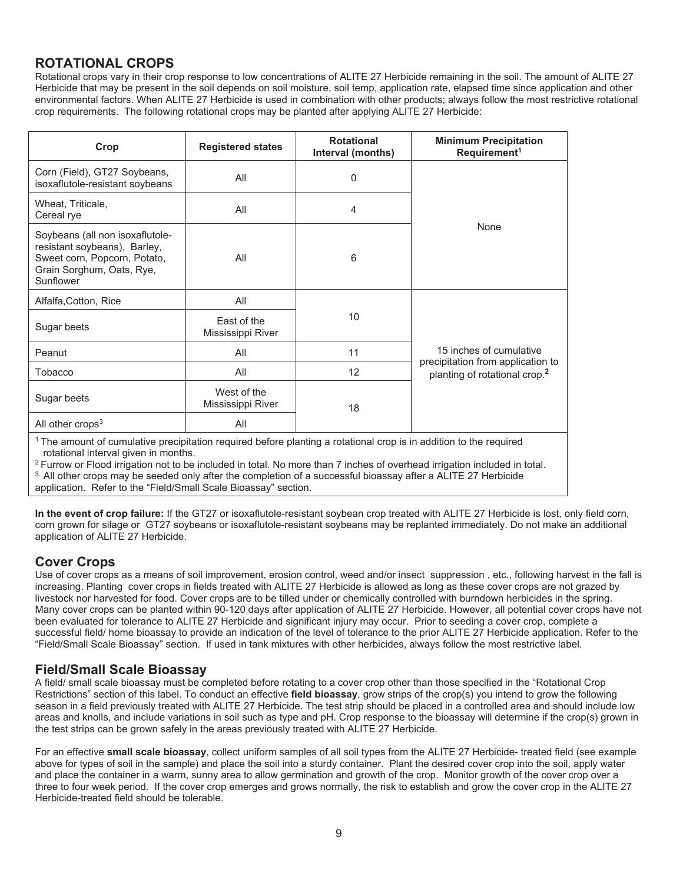## **ROTATIONAL CROPS**

Rotational crops vary in their crop response to low concentrations of ALITE 27 Herbicide remaining in the soil. The amount of ALITE 27 Herbicide that may be present in the soil depends on soil moisture, soil temp, application rate, elapsed time since application and other environmental factors. When ALITE 27 Herbicide is used in combination with other products; always follow the most restrictive rotational crop requirements. The following rotational crops may be planted after applying ALITE 27 Herbicide:

| Crop                                                                                                                                      | <b>Registered states</b>         | <b>Rotational</b><br>Interval (months) | <b>Minimum Precipitation</b><br>Requirement <sup>1</sup>                       |
|-------------------------------------------------------------------------------------------------------------------------------------------|----------------------------------|----------------------------------------|--------------------------------------------------------------------------------|
| Corn (Field), GT27 Soybeans,<br>isoxaflutole-resistant soybeans                                                                           | All                              | 0                                      |                                                                                |
| Wheat, Triticale,<br>Cereal rye                                                                                                           | All                              | 4                                      |                                                                                |
| Soybeans (all non isoxaflutole-<br>resistant soybeans), Barley,<br>Sweet corn, Popcorn, Potato,<br>Grain Sorghum, Oats, Rye,<br>Sunflower | All                              | 6                                      | None                                                                           |
| Alfalfa, Cotton, Rice                                                                                                                     | All                              |                                        |                                                                                |
| Sugar beets                                                                                                                               | East of the<br>Mississippi River | 10                                     |                                                                                |
| Peanut                                                                                                                                    | All                              | 11                                     | 15 inches of cumulative                                                        |
| Tobacco                                                                                                                                   | All                              | 12                                     | precipitation from application to<br>planting of rotational crop. <sup>2</sup> |
| Sugar beets                                                                                                                               | West of the<br>Mississippi River | 18                                     |                                                                                |
| All other crops $3$                                                                                                                       | All                              |                                        |                                                                                |
| <sup>1</sup> The amount of cumulative precipitation required before planting a rotational crop is in addition to the required             |                                  |                                        |                                                                                |

1 The amount of cumulative precipitation required before planting a rotational crop is in addition to the required rotational interval given in months.<br><sup>2</sup> Furrow or Flood irrigation not to be included in total. No more than 7 inches of overhead irrigation included in total.

3. All other crops may be seeded only after the completion of a successful bioassay after a ALITE 27 Herbicide application. Refer to the "Field/Small Scale Bioassay" section.

**In the event of crop failure:** If the GT27 or isoxaflutole-resistant soybean crop treated with ALITE 27 Herbicide is lost, only field corn, corn grown for silage or GT27 soybeans or isoxaflutole-resistant soybeans may be replanted immediately. Do not make an additional application of ALITE 27 Herbicide.

## **Cover Crops**

Use of cover crops as a means of soil improvement, erosion control, weed and/or insect suppression , etc., following harvest in the fall is increasing. Planting cover crops in fields treated with ALITE 27 Herbicide is allowed as long as these cover crops are not grazed by livestock nor harvested for food. Cover crops are to be tilled under or chemically controlled with burndown herbicides in the spring. Many cover crops can be planted within 90-120 days after application of ALITE 27 Herbicide. However, all potential cover crops have not been evaluated for tolerance to ALITE 27 Herbicide and significant injury may occur. Prior to seeding a cover crop, complete a successful field/ home bioassay to provide an indication of the level of tolerance to the prior ALITE 27 Herbicide application. Refer to the "Field/Small Scale Bioassay" section. If used in tank mixtures with other herbicides, always follow the most restrictive label.

## **Field/Small Scale Bioassay**

A field/ small scale bioassay must be completed before rotating to a cover crop other than those specified in the "Rotational Crop Restrictions" section of this label. To conduct an effective **field bioassay**, grow strips of the crop(s) you intend to grow the following season in a field previously treated with ALITE 27 Herbicide. The test strip should be placed in a controlled area and should include low areas and knolls, and include variations in soil such as type and pH. Crop response to the bioassay will determine if the crop(s) grown in the test strips can be grown safely in the areas previously treated with ALITE 27 Herbicide.

For an effective **small scale bioassay**, collect uniform samples of all soil types from the ALITE 27 Herbicide- treated field (see example above for types of soil in the sample) and place the soil into a sturdy container. Plant the desired cover crop into the soil, apply water and place the container in a warm, sunny area to allow germination and growth of the crop. Monitor growth of the cover crop over a three to four week period. If the cover crop emerges and grows normally, the risk to establish and grow the cover crop in the ALITE 27 Herbicide-treated field should be tolerable.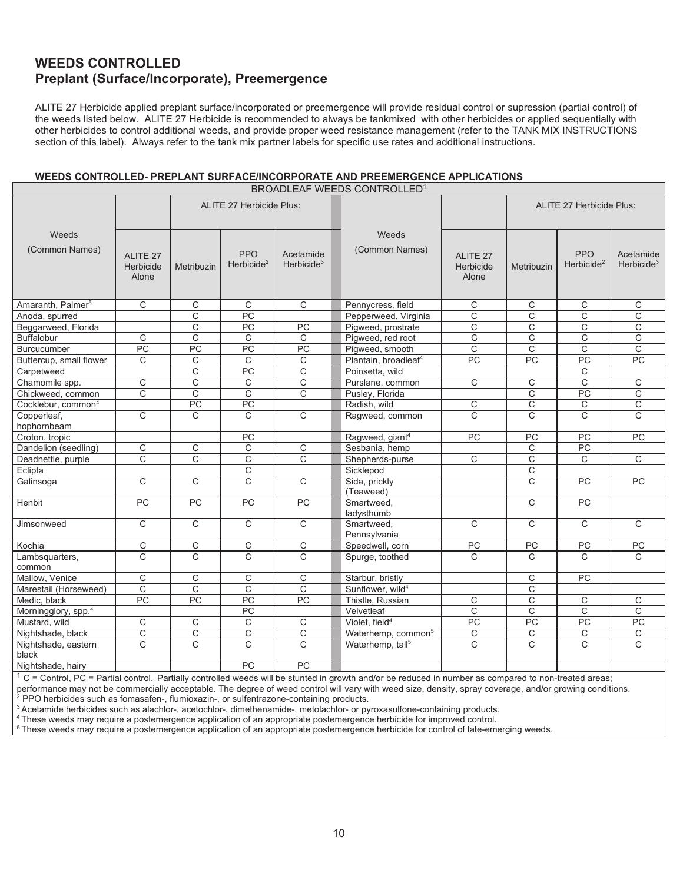## **WEEDS CONTROLLED Preplant (Surface/Incorporate), Preemergence**

ALITE 27 Herbicide applied preplant surface/incorporated or preemergence will provide residual control or supression (partial control) of the weeds listed below. ALITE 27 Herbicide is recommended to always be tankmixed with other herbicides or applied sequentially with other herbicides to control additional weeds, and provide proper weed resistance management (refer to the TANK MIX INSTRUCTIONS section of this label). Always refer to the tank mix partner labels for specific use rates and additional instructions.

#### **WEEDS CONTROLLED- PREPLANT SURFACE/INCORPORATE AND PREEMERGENCE APPLICATIONS**

| BROADLEAF WEEDS CONTROLLED <sup>1</sup> |                                           |                       |                                      |                            |                                  |                                |                 |                                 |                            |
|-----------------------------------------|-------------------------------------------|-----------------------|--------------------------------------|----------------------------|----------------------------------|--------------------------------|-----------------|---------------------------------|----------------------------|
|                                         |                                           |                       | <b>ALITE 27 Herbicide Plus:</b>      |                            |                                  |                                |                 | <b>ALITE 27 Herbicide Plus:</b> |                            |
| Weeds<br>(Common Names)                 | ALITE <sub>27</sub><br>Herbicide<br>Alone | Metribuzin            | <b>PPO</b><br>Herbicide <sup>2</sup> | Acetamide<br>Herbicide $3$ | Weeds<br>(Common Names)          | ALITE 27<br>Herbicide<br>Alone | Metribuzin      | <b>PPO</b><br>Herbicide $2$     | Acetamide<br>Herbicide $3$ |
| Amaranth, Palmer <sup>5</sup>           | C                                         | C                     | C                                    | C                          | Pennycress, field                | C                              | С               | С                               | С                          |
| Anoda, spurred                          |                                           | C                     | PC                                   |                            | Pepperweed, Virginia             | C                              | C               | C                               | C                          |
| Beggarweed, Florida                     |                                           | $\overline{C}$        | $\overline{PC}$                      | PC                         | Pigweed, prostrate               | $\overline{\mathrm{c}}$        | C               | C                               | $\overline{\mathrm{c}}$    |
| <b>Buffalobur</b>                       | C                                         | C                     | C                                    | C                          | Pigweed, red root                | C                              | C               | C                               | $\overline{\text{c}}$      |
| <b>Burcucumber</b>                      | PC                                        | PC                    | $\overline{PC}$                      | PC                         | Pigweed, smooth                  | $\mathsf{C}$                   | $\mathsf{C}$    | $\mathsf{C}$                    | C                          |
| Buttercup, small flower                 | C                                         | $\mathsf{C}$          | $\overline{C}$                       | C                          | Plantain, broadleaf <sup>4</sup> | PC                             | PC              | PC                              | PC                         |
| Carpetweed                              |                                           | C                     | $\overline{PC}$                      | $\mathsf{C}$               | Poinsetta, wild                  |                                |                 | C                               |                            |
| Chamomile spp.                          | C                                         | C                     | C                                    | C                          | Purslane, common                 | $\mathsf{C}$                   | C               | C                               | C                          |
| Chickweed, common                       | $\overline{\text{c}}$                     | $\overline{\text{c}}$ | $\overline{c}$                       | $\overline{\mathrm{c}}$    | Pusley, Florida                  |                                | $\mathsf{C}$    | PC                              | C                          |
| Cocklebur, common <sup>4</sup>          |                                           | $\overline{PC}$       | PC                                   |                            | Radish, wild                     | C                              | C               | C                               | С                          |
| Copperleaf,<br>hophornbeam              | $\mathsf{C}$                              | C                     | $\mathsf{C}$                         | C                          | Ragweed, common                  | C                              | C               | C                               | C                          |
| Croton, tropic                          |                                           |                       | $\overline{PC}$                      |                            | Ragweed, giant <sup>4</sup>      | $\overline{PC}$                | $\overline{PC}$ | PC                              | PC                         |
| Dandelion (seedling)                    | $\overline{C}$                            | $\overline{C}$        | $\mathsf C$                          | C                          | Sesbania, hemp                   |                                | C               | PC                              |                            |
| Deadnettle, purple                      | C                                         | C                     | C                                    | C                          | Shepherds-purse                  | C                              | C               | C                               | C                          |
| Eclipta                                 |                                           |                       | $\overline{C}$                       |                            | Sicklepod                        |                                | C               |                                 |                            |
| Galinsoga                               | $\overline{C}$                            | $\overline{C}$        | $\overline{C}$                       | $\overline{C}$             | Sida, prickly<br>(Teaweed)       |                                | C               | PC                              | PC                         |
| Henbit                                  | PC                                        | PC                    | PC                                   | $\overline{PC}$            | Smartweed.<br>ladysthumb         |                                | $\mathsf{C}$    | PC                              |                            |
| Jimsonweed                              | C                                         | C                     | C                                    | $\mathsf{C}$               | Smartweed.<br>Pennsylvania       | $\mathsf{C}$                   | C               | C                               | C                          |
| Kochia                                  | C                                         | $\mathsf C$           | $\mathsf C$                          | С                          | Speedwell, corn                  | PC                             | PC              | PC                              | PC                         |
| Lambsquarters,<br>common                | $\mathsf{C}$                              | $\mathsf{C}$          | $\mathsf{C}$                         | $\overline{C}$             | Spurge, toothed                  | $\mathcal{C}$                  | C               | $\mathsf{C}$                    | C                          |
| Mallow, Venice                          | C                                         | C                     | C                                    | C                          | Starbur, bristly                 |                                | C               | PC                              |                            |
| Marestail (Horseweed)                   | $\mathsf C$                               | C                     | $\mathsf C$                          | $\overline{\text{c}}$      | Sunflower, wild <sup>4</sup>     |                                | C               |                                 |                            |
| Medic, black                            | PC                                        | PC                    | $\overline{PC}$                      | $\overline{PC}$            | Thistle, Russian                 | C                              | C               | C                               | C                          |
| Morningglory, spp. <sup>4</sup>         |                                           |                       | PC                                   |                            | Velvetleaf                       | $\mathsf{C}$                   | $\mathsf{C}$    | C                               | C                          |
| Mustard, wild                           | C                                         | C                     | C                                    | С                          | Violet, field <sup>4</sup>       | $\overline{PC}$                | PC              | PC                              | PC                         |
| Nightshade, black                       | $\overline{C}$                            | $\overline{C}$        | $\overline{C}$                       | $\overline{\text{c}}$      | Waterhemp, common <sup>5</sup>   | $\overline{C}$                 | $\mathsf C$     | C                               | $\overline{C}$             |
| Nightshade, eastern<br>black            | C                                         | $\mathsf{C}$          | $\mathsf{C}$                         | C                          | Waterhemp, tall <sup>5</sup>     | C                              | C               | C                               | $\mathsf{C}$               |
| Nightshade, hairy                       |                                           |                       | PC                                   | PC                         |                                  |                                |                 |                                 |                            |

 $1$  C = Control, PC = Partial control. Partially controlled weeds will be stunted in growth and/or be reduced in number as compared to non-treated areas;

performance may not be commercially acceptable. The degree of weed control will vary with weed size, density, spray coverage, and/or growing conditions. 2 2 PPO herbicides such as fomasafen-, flumioxazin-, or sulfentrazone-containing products.

3 Acetamide herbicides such as alachlor-, acetochlor-, dimethenamide-, metolachlor- or pyroxasulfone-containing products.

4 These weeds may require a postemergence application of an appropriate postemergence herbicide for improved control.

<sup>5</sup> These weeds may require a postemergence application of an appropriate postemergence herbicide for control of late-emerging weeds.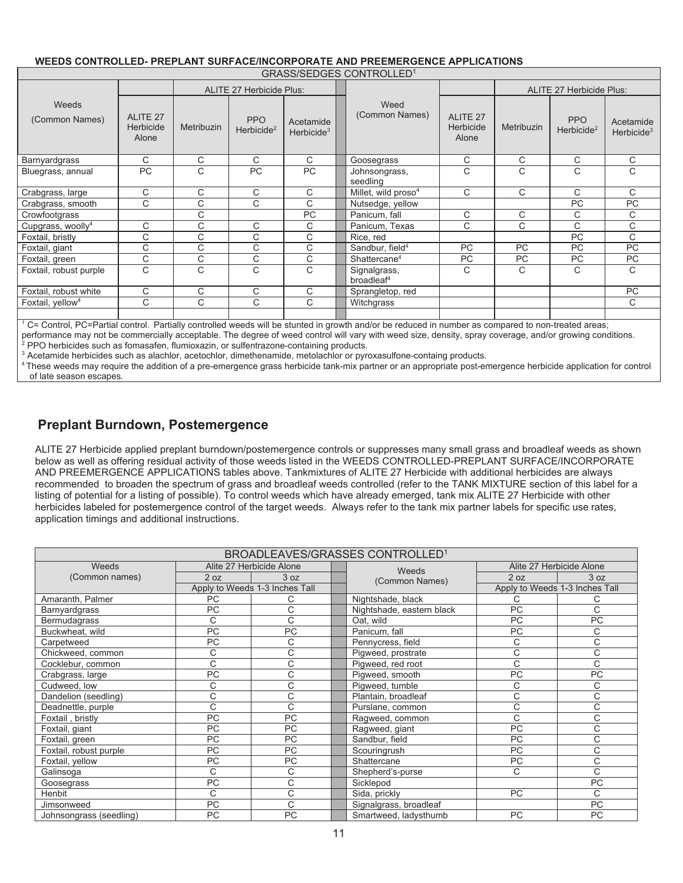#### Weeds (Common Names) ALITE 27 Herbicide Plus: Weed (Common Names) ALITE 27 Herbicide Plus: ALITE 27 Herbicide Alone Metribuzin PPO  $\begin{array}{c|c}\n\text{PPO} & \text{Acctamide} \\
\text{Herbicide}^2 & \text{Herbicide}^3\n\end{array}$ Herbicide<sup>3</sup> ALITE 27 Herbicide Alone Metribuzin PPO  $\begin{array}{c|c}\n\text{PPO} & \text{Acetamide} \\
\text{Herbicide}^2 & \text{Herbicide}^3\n\end{array}$ Herbicide<sup>3</sup> Barnyardgrass | C | C | C | C ||Goosegrass | C | C | C | C Bluegrass, annual PC C PC PC Johnsongrass, seedling  $C$  |  $C$  |  $C$  |  $C$ Crabgrass, large C C C C Millet, wild proso<sup>4</sup><br>Crabgrass, smooth C C C C Nutsedge, vellow  $\begin{array}{c|c|c|c|c|c|c|c|c} \hline \multicolumn{3}{c|c|c|c} \multicolumn{3}{c|c|c} \multicolumn{3}{c|c|c} \multicolumn{3}{c|c|c} \multicolumn{3}{c|c|c} \multicolumn{3}{c|c|c} \multicolumn{3}{c|c|c} \multicolumn{3}{c|c|c} \multicolumn{3}{c|c|c} \multicolumn{3}{c|c|c} \multicolumn{3}{c|c|c} \multicolumn{3}{c|c|c} \multicolumn{3}{c|c|c} \multicolumn{3}{c|c|c} \multicolumn{3}{c|c$ Crabgrass, smooth C C C C C Nutsedge, yellow PC PC PC Crowfootgrass C PC Panicum, fall C C C C Cupgrass, woolly<sup>4</sup><br>Foxtail, bristly C C C C Panicum, Texas C C C C C<br>C C C C Rice, red PC C C C Foxtail, bristly | C | C | C | C | Rice, red | | PC | C Foxtail, giant C C C C C Sandbur, field<sup>4</sup> PC PC PC PC PC PC Foxtail, green C C C C C Shattercane<sup>4</sup> PC PC PC PC PC Foxtail, robust purple C C C C G Signalgrass, broadleaf4  $C \quad | \quad C \quad | \quad C \quad | \quad C$ Foxtail, robust white C C C C C Sprangletop, red PC Foxtail, yellow4 | C | C | C | C ||Witchgrass | | | | | | C 1

#### **WEEDS CONTROLLED- PREPLANT SURFACE/INCORPORATE AND PREEMERGENCE APPLICATIONS**

GRASS/SEDGES CONTROLLED1

C= Control, PC=Partial control. Partially controlled weeds will be stunted in growth and/or be reduced in number as compared to non-treated areas;

performance may not be commercially acceptable. The degree of weed control will vary with weed size, density, spray coverage, and/or growing conditions. <sup>2</sup> PPO herbicides such as fomasafen, flumioxazin, or sulfentrazone-containing products.

<sup>3</sup> Acetamide herbicides such as alachlor, acetochlor, dimethenamide, metolachlor or pyroxasulfone-containg products.

4 These weeds may require the addition of a pre-emergence grass herbicide tank-mix partner or an appropriate post-emergence herbicide application for control of late season escapes*.*

## **Preplant Burndown, Postemergence**

ALITE 27 Herbicide applied preplant burndown/postemergence controls or suppresses many small grass and broadleaf weeds as shown below as well as offering residual activity of those weeds listed in the WEEDS CONTROLLED-PREPLANT SURFACE/INCORPORATE AND PREEMERGENCE APPLICATIONS tables above. Tankmixtures of ALITE 27 Herbicide with additional herbicides are always recommended to broaden the spectrum of grass and broadleaf weeds controlled (refer to the TANK MIXTURE section of this label for a listing of potential for a listing of possible). To control weeds which have already emerged, tank mix ALITE 27 Herbicide with other herbicides labeled for postemergence control of the target weeds. Always refer to the tank mix partner labels for specific use rates, application timings and additional instructions.

| BROADLEAVES/GRASSES CONTROLLED <sup>1</sup> |           |                                |  |                           |           |                                |
|---------------------------------------------|-----------|--------------------------------|--|---------------------------|-----------|--------------------------------|
| Weeds                                       |           | Alite 27 Herbicide Alone       |  | Weeds                     |           | Alite 27 Herbicide Alone       |
| (Common names)                              | 2 oz      | 3 oz                           |  | (Common Names)            | 2 oz      | 3 oz                           |
|                                             |           | Apply to Weeds 1-3 Inches Tall |  |                           |           | Apply to Weeds 1-3 Inches Tall |
| Amaranth, Palmer                            | <b>PC</b> |                                |  | Nightshade, black         | С         |                                |
| Barnyardgrass                               | PC        | C                              |  | Nightshade, eastern black | <b>PC</b> | C                              |
| Bermudagrass                                | C         | C                              |  | Oat, wild                 | PC        | PC                             |
| Buckwheat, wild                             | PC        | PC                             |  | Panicum, fall             | PC        | С                              |
| Carpetweed                                  | PC        | C                              |  | Pennycress, field         | C         | C                              |
| Chickweed, common                           | C         | С                              |  | Pigweed, prostrate        | C         | C                              |
| Cocklebur, common                           | C         | C                              |  | Pigweed, red root         | C         | C                              |
| Crabgrass, large                            | PC        | C                              |  | Pigweed, smooth           | PC        | PC                             |
| Cudweed, low                                | C         | C                              |  | Pigweed, tumble           | C         | C                              |
| Dandelion (seedling)                        | C         | C                              |  | Plantain, broadleaf       | C         | C                              |
| Deadnettle, purple                          | C         | C                              |  | Purslane, common          | C         | C                              |
| Foxtail, bristly                            | PC        | <b>PC</b>                      |  | Ragweed, common           | C         | C                              |
| Foxtail, giant                              | PC        | <b>PC</b>                      |  | Ragweed, giant            | PC        | C                              |
| Foxtail, green                              | PC        | <b>PC</b>                      |  | Sandbur, field            | <b>PC</b> | C                              |
| Foxtail, robust purple                      | PC        | PC                             |  | Scouringrush              | PC        | C                              |
| Foxtail, yellow                             | PC        | PC                             |  | Shattercane               | PC        | C                              |
| Galinsoga                                   | C         | C                              |  | Shepherd's-purse          | C         | C                              |
| Goosegrass                                  | PC        | C                              |  | Sicklepod                 |           | PC                             |
| Henbit                                      | C         | C                              |  | Sida, prickly             | PC        | C                              |
| Jimsonweed                                  | PC        | C                              |  | Signalgrass, broadleaf    |           | PC                             |
| Johnsongrass (seedling)                     | PC        | <b>PC</b>                      |  | Smartweed, ladysthumb     | <b>PC</b> | <b>PC</b>                      |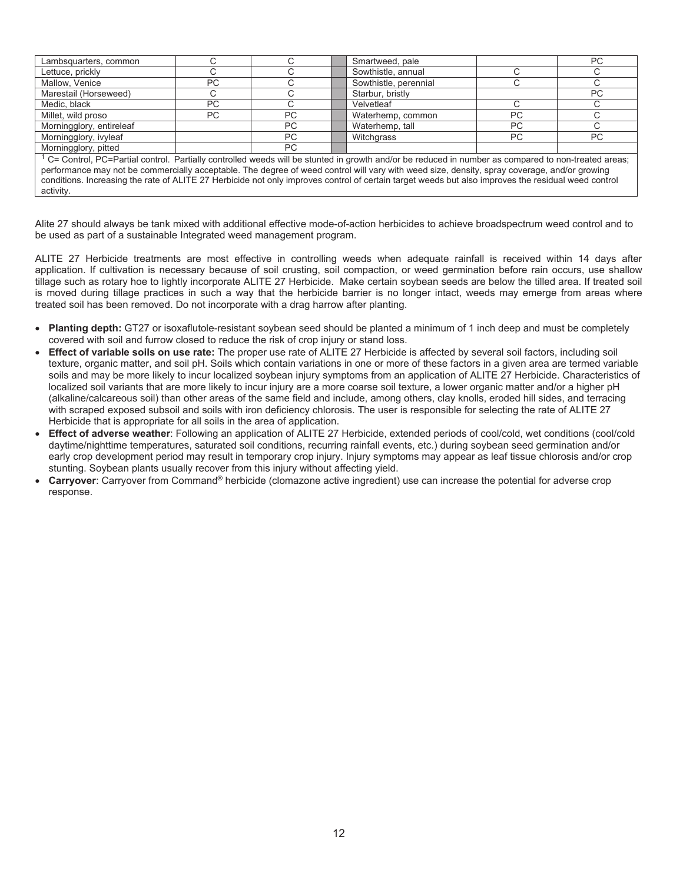| Lambsquarters, common                                                                                                                                                                                                                                                                               |    |     |                          | Smartweed, pale       |    | PC        |
|-----------------------------------------------------------------------------------------------------------------------------------------------------------------------------------------------------------------------------------------------------------------------------------------------------|----|-----|--------------------------|-----------------------|----|-----------|
| Lettuce, prickly                                                                                                                                                                                                                                                                                    |    |     | Sowthistle, annual       |                       |    |           |
| Mallow, Venice                                                                                                                                                                                                                                                                                      | PC |     |                          | Sowthistle, perennial |    |           |
| Marestail (Horseweed)                                                                                                                                                                                                                                                                               |    |     |                          | Starbur, bristly      |    | <b>PC</b> |
| Medic, black                                                                                                                                                                                                                                                                                        | PC |     |                          | Velvetleaf            |    |           |
| Millet, wild proso                                                                                                                                                                                                                                                                                  | PC | PC. |                          | Waterhemp, common     | PC |           |
| Morningglory, entireleaf                                                                                                                                                                                                                                                                            |    | PC  | PC.<br>Waterhemp, tall   |                       |    |           |
| Morningglory, ivyleaf                                                                                                                                                                                                                                                                               |    | PC  | PC.<br>Witchgrass<br>PC. |                       |    |           |
| Morningglory, pitted<br>PC                                                                                                                                                                                                                                                                          |    |     |                          |                       |    |           |
| $1$ C= Control, PC=Partial control. Partially controlled weeds will be stunted in growth and/or be reduced in number as compared to non-treated areas;                                                                                                                                              |    |     |                          |                       |    |           |
| performance may not be commercially acceptable. The degree of weed control will vary with weed size, density, spray coverage, and/or growing<br>conditions. Increasing the rate of ALITE 27 Herbicide not only improves control of certain target weeds but also improves the residual weed control |    |     |                          |                       |    |           |

activity.

Alite 27 should always be tank mixed with additional effective mode-of-action herbicides to achieve broadspectrum weed control and to be used as part of a sustainable Integrated weed management program.

ALITE 27 Herbicide treatments are most effective in controlling weeds when adequate rainfall is received within 14 days after application. If cultivation is necessary because of soil crusting, soil compaction, or weed germination before rain occurs, use shallow tillage such as rotary hoe to lightly incorporate ALITE 27 Herbicide. Make certain soybean seeds are below the tilled area. If treated soil is moved during tillage practices in such a way that the herbicide barrier is no longer intact, weeds may emerge from areas where treated soil has been removed. Do not incorporate with a drag harrow after planting.

- **Planting depth:** GT27 or isoxaflutole-resistant soybean seed should be planted a minimum of 1 inch deep and must be completely covered with soil and furrow closed to reduce the risk of crop injury or stand loss.
- x **Effect of variable soils on use rate:** The proper use rate of ALITE 27 Herbicide is affected by several soil factors, including soil texture, organic matter, and soil pH. Soils which contain variations in one or more of these factors in a given area are termed variable soils and may be more likely to incur localized soybean injury symptoms from an application of ALITE 27 Herbicide. Characteristics of localized soil variants that are more likely to incur injury are a more coarse soil texture, a lower organic matter and/or a higher pH (alkaline/calcareous soil) than other areas of the same field and include, among others, clay knolls, eroded hill sides, and terracing with scraped exposed subsoil and soils with iron deficiency chlorosis. The user is responsible for selecting the rate of ALITE 27 Herbicide that is appropriate for all soils in the area of application.
- x **Effect of adverse weather**: Following an application of ALITE 27 Herbicide, extended periods of cool/cold, wet conditions (cool/cold daytime/nighttime temperatures, saturated soil conditions, recurring rainfall events, etc.) during soybean seed germination and/or early crop development period may result in temporary crop injury. Injury symptoms may appear as leaf tissue chlorosis and/or crop stunting. Soybean plants usually recover from this injury without affecting yield.
- **Carryover**: Carryover from Command<sup>®</sup> herbicide (clomazone active ingredient) use can increase the potential for adverse crop response.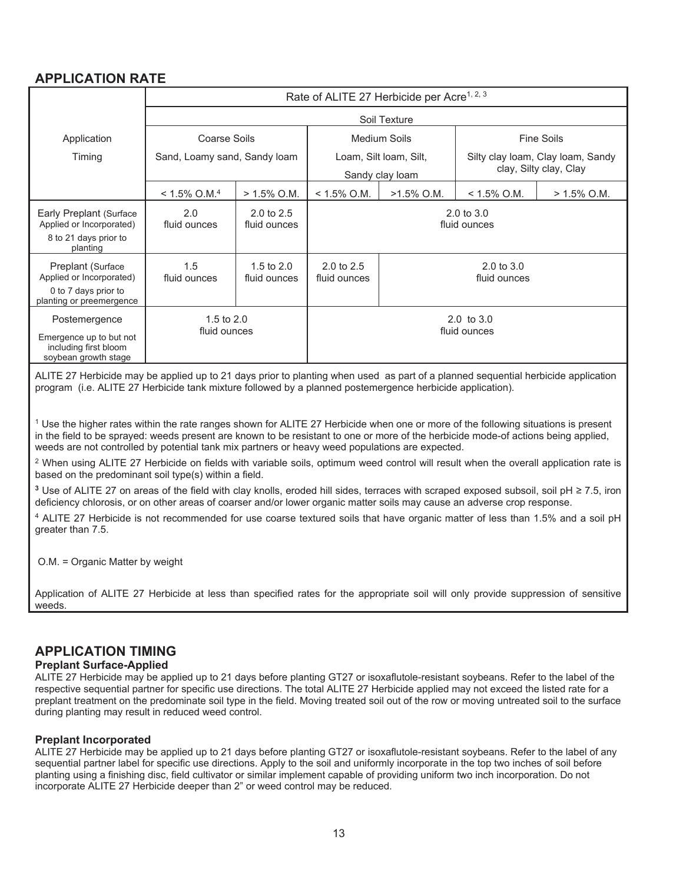## **APPLICATION RATE**

|                                                                                                   | Rate of ALITE 27 Herbicide per Acre <sup>1, 2, 3</sup> |                                       |                                       |                                           |                                                             |                |
|---------------------------------------------------------------------------------------------------|--------------------------------------------------------|---------------------------------------|---------------------------------------|-------------------------------------------|-------------------------------------------------------------|----------------|
|                                                                                                   |                                                        |                                       |                                       | Soil Texture                              |                                                             |                |
| Application                                                                                       | Coarse Soils                                           |                                       |                                       | Medium Soils                              | <b>Fine Soils</b>                                           |                |
| Timing                                                                                            | Sand, Loamy sand, Sandy loam                           |                                       |                                       | Loam, Silt Ioam, Silt,<br>Sandy clay loam | Silty clay loam, Clay loam, Sandy<br>clay, Silty clay, Clay |                |
|                                                                                                   | $< 1.5\%$ O.M. <sup>4</sup>                            | $> 1.5\%$ O.M.                        | $< 1.5\%$ O.M.                        | $>1.5\%$ O.M.                             | $< 1.5\%$ O.M.                                              | $> 1.5\%$ O.M. |
| Early Preplant (Surface<br>Applied or Incorporated)<br>8 to 21 days prior to<br>planting          | 2.0<br>fluid ounces                                    | $2.0 \text{ to } 2.5$<br>fluid ounces |                                       |                                           | $2.0 \text{ to } 3.0$<br>fluid ounces                       |                |
| Preplant (Surface<br>Applied or Incorporated)<br>0 to 7 days prior to<br>planting or preemergence | 1.5<br>fluid ounces                                    | 1.5 to $2.0$<br>fluid ounces          | $2.0 \text{ to } 2.5$<br>fluid ounces |                                           | $2.0 \text{ to } 3.0$<br>fluid ounces                       |                |
| Postemergence<br>Emergence up to but not<br>including first bloom<br>soybean growth stage         | 1.5 to $2.0$<br>fluid ounces                           |                                       | $2.0 \text{ to } 3.0$<br>fluid ounces |                                           |                                                             |                |

ALITE 27 Herbicide may be applied up to 21 days prior to planting when used as part of a planned sequential herbicide application program (i.e. ALITE 27 Herbicide tank mixture followed by a planned postemergence herbicide application).

 $1$  Use the higher rates within the rate ranges shown for ALITE 27 Herbicide when one or more of the following situations is present in the field to be sprayed: weeds present are known to be resistant to one or more of the herbicide mode-of actions being applied, weeds are not controlled by potential tank mix partners or heavy weed populations are expected.

<sup>2</sup> When using ALITE 27 Herbicide on fields with variable soils, optimum weed control will result when the overall application rate is based on the predominant soil type(s) within a field.

<sup>3</sup> Use of ALITE 27 on areas of the field with clay knolls, eroded hill sides, terraces with scraped exposed subsoil, soil pH ≥ 7.5, iron deficiency chlorosis, or on other areas of coarser and/or lower organic matter soils may cause an adverse crop response.

4 ALITE 27 Herbicide is not recommended for use coarse textured soils that have organic matter of less than 1.5% and a soil pH greater than 7.5.

O.M. = Organic Matter by weight

Application of ALITE 27 Herbicide at less than specified rates for the appropriate soil will only provide suppression of sensitive weeds.

## **APPLICATION TIMING**

#### **Preplant Surface-Applied**

ALITE 27 Herbicide may be applied up to 21 days before planting GT27 or isoxaflutole-resistant soybeans. Refer to the label of the respective sequential partner for specific use directions. The total ALITE 27 Herbicide applied may not exceed the listed rate for a preplant treatment on the predominate soil type in the field. Moving treated soil out of the row or moving untreated soil to the surface during planting may result in reduced weed control.

#### **Preplant Incorporated**

ALITE 27 Herbicide may be applied up to 21 days before planting GT27 or isoxaflutole-resistant soybeans. Refer to the label of any sequential partner label for specific use directions. Apply to the soil and uniformly incorporate in the top two inches of soil before planting using a finishing disc, field cultivator or similar implement capable of providing uniform two inch incorporation. Do not incorporate ALITE 27 Herbicide deeper than 2" or weed control may be reduced.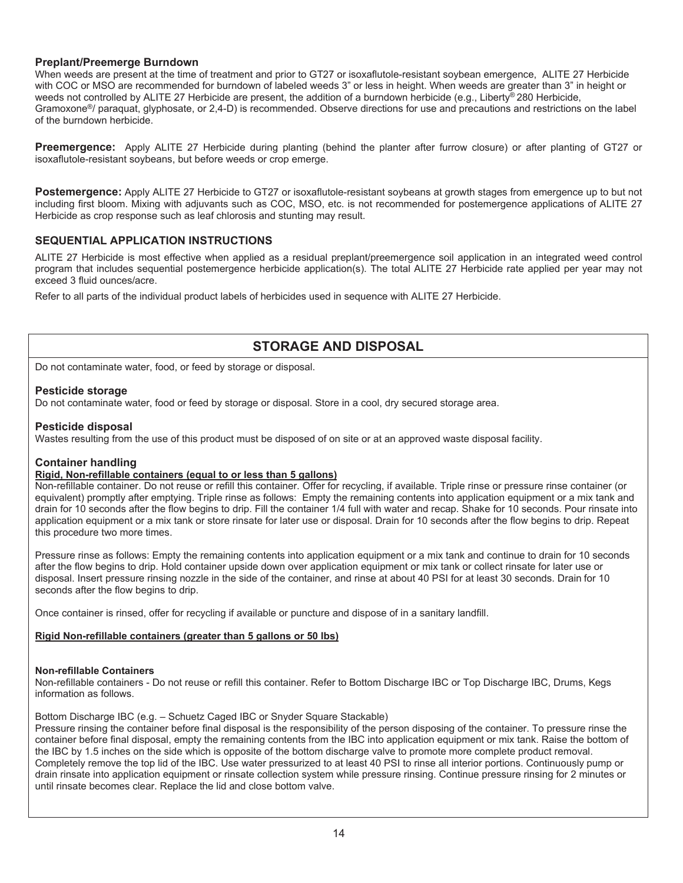#### **Preplant/Preemerge Burndown**

When weeds are present at the time of treatment and prior to GT27 or isoxaflutole-resistant soybean emergence, ALITE 27 Herbicide with COC or MSO are recommended for burndown of labeled weeds 3" or less in height. When weeds are greater than 3" in height or weeds not controlled by ALITE 27 Herbicide are present, the addition of a burndown herbicide (e.g., Liberty® 280 Herbicide, Gramoxone<sup>®</sup>/ paraquat, glyphosate, or 2,4-D) is recommended. Observe directions for use and precautions and restrictions on the label of the burndown herbicide.

**Preemergence:** Apply ALITE 27 Herbicide during planting (behind the planter after furrow closure) or after planting of GT27 or isoxaflutole-resistant soybeans, but before weeds or crop emerge.

**Postemergence:** Apply ALITE 27 Herbicide to GT27 or isoxaflutole-resistant soybeans at growth stages from emergence up to but not including first bloom. Mixing with adjuvants such as COC, MSO, etc. is not recommended for postemergence applications of ALITE 27 Herbicide as crop response such as leaf chlorosis and stunting may result.

#### **SEQUENTIAL APPLICATION INSTRUCTIONS**

ALITE 27 Herbicide is most effective when applied as a residual preplant/preemergence soil application in an integrated weed control program that includes sequential postemergence herbicide application(s). The total ALITE 27 Herbicide rate applied per year may not exceed 3 fluid ounces/acre.

Refer to all parts of the individual product labels of herbicides used in sequence with ALITE 27 Herbicide.

## **STORAGE AND DISPOSAL**

Do not contaminate water, food, or feed by storage or disposal.

#### **Pesticide storage**

Do not contaminate water, food or feed by storage or disposal. Store in a cool, dry secured storage area.

#### **Pesticide disposal**

Wastes resulting from the use of this product must be disposed of on site or at an approved waste disposal facility.

#### **Container handling**

#### **Rigid, Non-refillable containers (equal to or less than 5 gallons)**

Non-refillable container. Do not reuse or refill this container. Offer for recycling, if available. Triple rinse or pressure rinse container (or equivalent) promptly after emptying. Triple rinse as follows: Empty the remaining contents into application equipment or a mix tank and drain for 10 seconds after the flow begins to drip. Fill the container 1/4 full with water and recap. Shake for 10 seconds. Pour rinsate into application equipment or a mix tank or store rinsate for later use or disposal. Drain for 10 seconds after the flow begins to drip. Repeat this procedure two more times.

Pressure rinse as follows: Empty the remaining contents into application equipment or a mix tank and continue to drain for 10 seconds after the flow begins to drip. Hold container upside down over application equipment or mix tank or collect rinsate for later use or disposal. Insert pressure rinsing nozzle in the side of the container, and rinse at about 40 PSI for at least 30 seconds. Drain for 10 seconds after the flow begins to drip.

Once container is rinsed, offer for recycling if available or puncture and dispose of in a sanitary landfill.

#### **Rigid Non-refillable containers (greater than 5 gallons or 50 lbs)**

#### **Non-refillable Containers**

Non-refillable containers - Do not reuse or refill this container. Refer to Bottom Discharge IBC or Top Discharge IBC, Drums, Kegs information as follows.

#### Bottom Discharge IBC (e.g. – Schuetz Caged IBC or Snyder Square Stackable)

Pressure rinsing the container before final disposal is the responsibility of the person disposing of the container. To pressure rinse the container before final disposal, empty the remaining contents from the IBC into application equipment or mix tank. Raise the bottom of the IBC by 1.5 inches on the side which is opposite of the bottom discharge valve to promote more complete product removal. Completely remove the top lid of the IBC. Use water pressurized to at least 40 PSI to rinse all interior portions. Continuously pump or drain rinsate into application equipment or rinsate collection system while pressure rinsing. Continue pressure rinsing for 2 minutes or until rinsate becomes clear. Replace the lid and close bottom valve.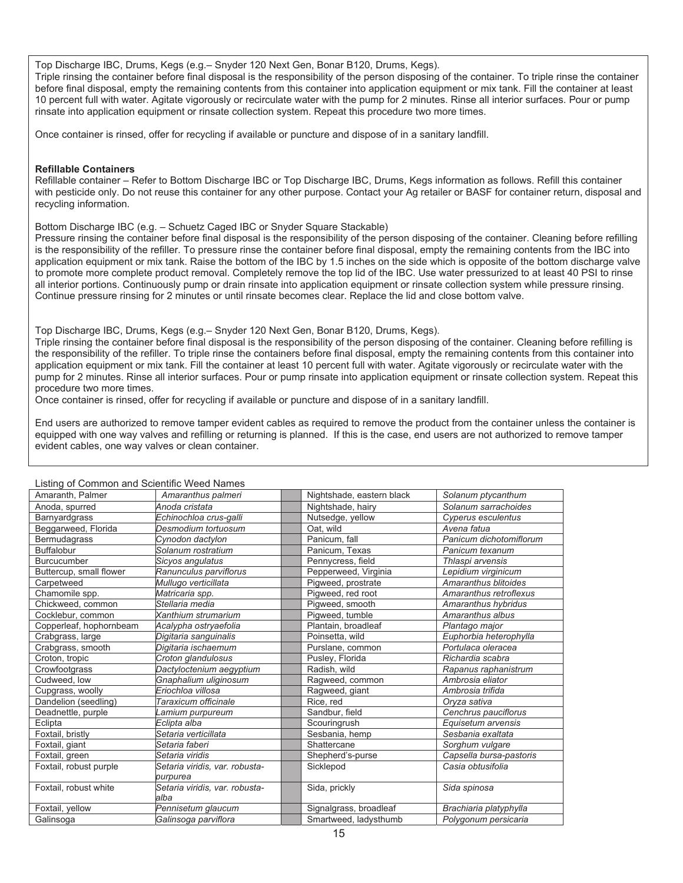Top Discharge IBC, Drums, Kegs (e.g.– Snyder 120 Next Gen, Bonar B120, Drums, Kegs).

Triple rinsing the container before final disposal is the responsibility of the person disposing of the container. To triple rinse the container before final disposal, empty the remaining contents from this container into application equipment or mix tank. Fill the container at least 10 percent full with water. Agitate vigorously or recirculate water with the pump for 2 minutes. Rinse all interior surfaces. Pour or pump rinsate into application equipment or rinsate collection system. Repeat this procedure two more times.

Once container is rinsed, offer for recycling if available or puncture and dispose of in a sanitary landfill.

#### **Refillable Containers**

Refillable container – Refer to Bottom Discharge IBC or Top Discharge IBC, Drums, Kegs information as follows. Refill this container with pesticide only. Do not reuse this container for any other purpose. Contact your Ag retailer or BASF for container return, disposal and recycling information.

Bottom Discharge IBC (e.g. – Schuetz Caged IBC or Snyder Square Stackable)

Pressure rinsing the container before final disposal is the responsibility of the person disposing of the container. Cleaning before refilling is the responsibility of the refiller. To pressure rinse the container before final disposal, empty the remaining contents from the IBC into application equipment or mix tank. Raise the bottom of the IBC by 1.5 inches on the side which is opposite of the bottom discharge valve to promote more complete product removal. Completely remove the top lid of the IBC. Use water pressurized to at least 40 PSI to rinse all interior portions. Continuously pump or drain rinsate into application equipment or rinsate collection system while pressure rinsing. Continue pressure rinsing for 2 minutes or until rinsate becomes clear. Replace the lid and close bottom valve.

Top Discharge IBC, Drums, Kegs (e.g.– Snyder 120 Next Gen, Bonar B120, Drums, Kegs).

Triple rinsing the container before final disposal is the responsibility of the person disposing of the container. Cleaning before refilling is the responsibility of the refiller. To triple rinse the containers before final disposal, empty the remaining contents from this container into application equipment or mix tank. Fill the container at least 10 percent full with water. Agitate vigorously or recirculate water with the pump for 2 minutes. Rinse all interior surfaces. Pour or pump rinsate into application equipment or rinsate collection system. Repeat this procedure two more times.

Once container is rinsed, offer for recycling if available or puncture and dispose of in a sanitary landfill.

End users are authorized to remove tamper evident cables as required to remove the product from the container unless the container is equipped with one way valves and refilling or returning is planned. If this is the case, end users are not authorized to remove tamper evident cables, one way valves or clean container.

| Listing of Common and Scientific Weed Names<br>Amaranth, Palmer | Amaranthus palmeri             | Nightshade, eastern black | Solanum ptycanthum      |
|-----------------------------------------------------------------|--------------------------------|---------------------------|-------------------------|
| Anoda, spurred                                                  | Anoda cristata                 | Nightshade, hairy         | Solanum sarrachoides    |
| Barnyardgrass                                                   | Echinochloa crus-galli         | Nutsedge, yellow          | Cyperus esculentus      |
| Beggarweed, Florida                                             | Desmodium tortuosum            | Oat, wild                 | Avena fatua             |
| <b>Bermudagrass</b>                                             | Cynodon dactylon               | Panicum, fall             | Panicum dichotomiflorum |
| <b>Buffalobur</b>                                               | Solanum rostratium             | Panicum. Texas            | Panicum texanum         |
| <b>Burcucumber</b>                                              | Sicyos angulatus               | Pennycress, field         | Thlaspi arvensis        |
| Buttercup, small flower                                         | Ranunculus parviflorus         | Pepperweed, Virginia      | Lepidium virginicum     |
| Carpetweed                                                      | Mullugo verticillata           | Pigweed, prostrate        | Amaranthus blitoides    |
| Chamomile spp.                                                  | Matricaria spp.                | Pigweed, red root         | Amaranthus retroflexus  |
| Chickweed, common                                               | Stellaria media                | Piaweed, smooth           | Amaranthus hybridus     |
| Cocklebur, common                                               | Xanthium strumarium            | Piaweed, tumble           | Amaranthus albus        |
| Copperleaf, hophornbeam                                         | Acalypha ostryaefolia          | Plantain, broadleaf       | Plantago major          |
| Crabgrass, large                                                | Digitaria sanguinalis          | Poinsetta, wild           | Euphorbia heterophylla  |
| Crabgrass, smooth                                               | Digitaria ischaemum            | Purslane, common          | Portulaca oleracea      |
| Croton, tropic                                                  | Croton glandulosus             | Pusley, Florida           | Richardia scabra        |
| Crowfootgrass                                                   | Dactyloctenium aegyptium       | Radish, wild              | Rapanus raphanistrum    |
| Cudweed, low                                                    | Gnaphalium uliginosum          | Ragweed, common           | Ambrosia eliator        |
| Cupgrass, woolly                                                | Eriochloa villosa              | Ragweed, giant            | Ambrosia trifida        |
| Dandelion (seedling)                                            | Taraxicum officinale           | Rice, red                 | Oryza sativa            |
| Deadnettle, purple                                              | Lamium purpureum               | Sandbur, field            | Cenchrus pauciflorus    |
| Eclipta                                                         | Eclipta alba                   | Scouringrush              | Equisetum arvensis      |
| Foxtail, bristly                                                | Setaria verticillata           | Sesbania, hemp            | Sesbania exaltata       |
| Foxtail, giant                                                  | Setaria faberi                 | Shattercane               | Sorghum vulgare         |
| Foxtail, green                                                  | Setaria viridis                | Shepherd's-purse          | Capsella bursa-pastoris |
| Foxtail, robust purple                                          | Setaria viridis, var. robusta- | Sicklepod                 | Casia obtusifolia       |
|                                                                 | purpurea                       |                           |                         |
| Foxtail, robust white                                           | Setaria viridis, var. robusta- | Sida, prickly             | Sida spinosa            |
|                                                                 | alba                           |                           |                         |
| Foxtail, yellow                                                 | Pennisetum glaucum             | Signalgrass, broadleaf    | Brachiaria platyphylla  |
| Galinsoga                                                       | Galinsoga parviflora           | Smartweed, ladysthumb     | Polygonum persicaria    |

#### Listing of Common and Scientific Weed Names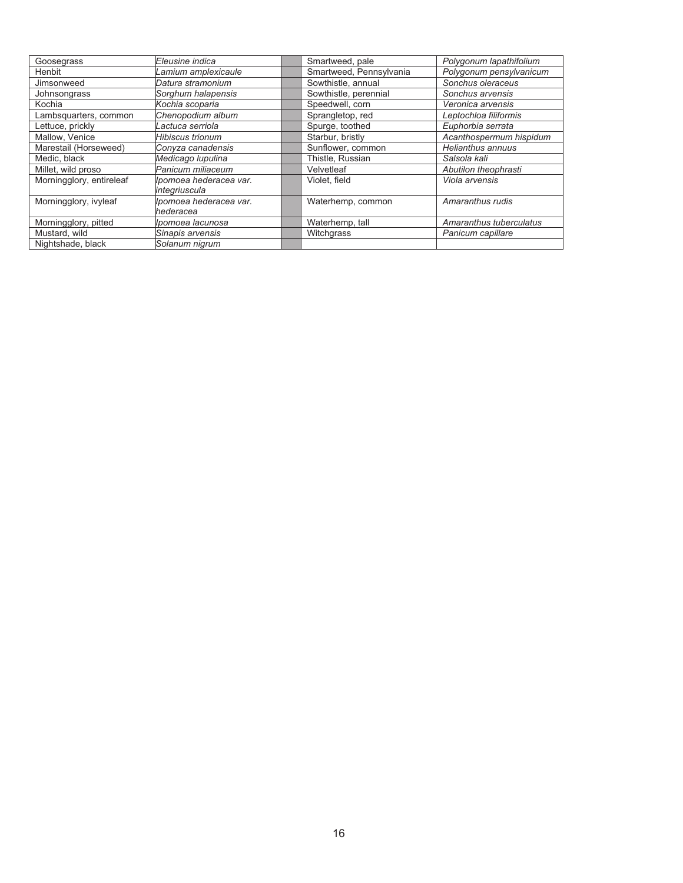| Goosegrass               | Eleusine indica        | Smartweed, pale         | Polygonum lapathifolium |
|--------------------------|------------------------|-------------------------|-------------------------|
| Henbit                   | Lamium amplexicaule    | Smartweed, Pennsylvania | Polygonum pensylvanicum |
| Jimsonweed               | Datura stramonium      | Sowthistle, annual      | Sonchus oleraceus       |
| Johnsongrass             | Sorghum halapensis     | Sowthistle, perennial   | Sonchus arvensis        |
| Kochia                   | Kochia scoparia        | Speedwell, corn         | Veronica arvensis       |
| Lambsquarters, common    | Chenopodium album      | Sprangletop, red        | Leptochloa filiformis   |
| Lettuce, prickly         | Lactuca serriola       | Spurge, toothed         | Euphorbia serrata       |
| Mallow, Venice           | Hibiscus trionum       | Starbur, bristly        | Acanthospermum hispidum |
| Marestail (Horseweed)    | Conyza canadensis      | Sunflower, common       | Helianthus annuus       |
| Medic, black             | Medicago Iupulina      | Thistle, Russian        | Salsola kali            |
| Millet, wild proso       | Panicum miliaceum      | Velvetleaf              | Abutilon theophrasti    |
| Morningglory, entireleaf | Ipomoea hederacea var. | Violet, field           | Viola arvensis          |
|                          | integriuscula          |                         |                         |
| Morningglory, ivyleaf    | Ipomoea hederacea var. | Waterhemp, common       | Amaranthus rudis        |
|                          | hederacea              |                         |                         |
| Morningglory, pitted     | Ipomoea lacunosa       | Waterhemp, tall         | Amaranthus tuberculatus |
| Mustard, wild            | Sinapis arvensis       | Witchgrass              | Panicum capillare       |
| Nightshade, black        | Solanum nigrum         |                         |                         |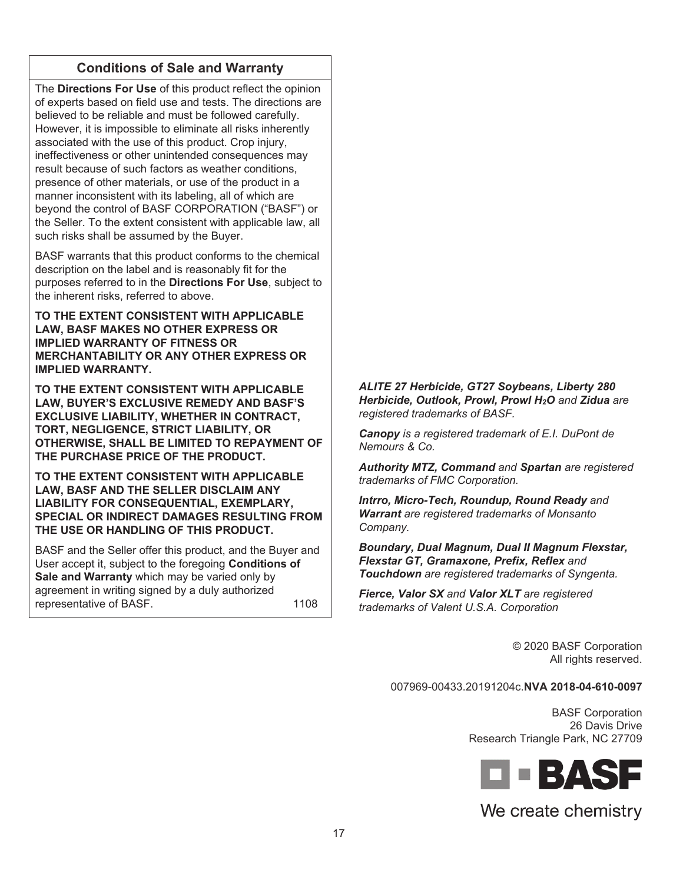## **Conditions of Sale and Warranty**

The **Directions For Use** of this product reflect the opinion of experts based on field use and tests. The directions are believed to be reliable and must be followed carefully. However, it is impossible to eliminate all risks inherently associated with the use of this product. Crop injury, ineffectiveness or other unintended consequences may result because of such factors as weather conditions, presence of other materials, or use of the product in a manner inconsistent with its labeling, all of which are beyond the control of BASF CORPORATION ("BASF") or the Seller. To the extent consistent with applicable law, all such risks shall be assumed by the Buyer.

BASF warrants that this product conforms to the chemical description on the label and is reasonably fit for the purposes referred to in the **Directions For Use**, subject to the inherent risks, referred to above.

**TO THE EXTENT CONSISTENT WITH APPLICABLE LAW, BASF MAKES NO OTHER EXPRESS OR IMPLIED WARRANTY OF FITNESS OR MERCHANTABILITY OR ANY OTHER EXPRESS OR IMPLIED WARRANTY.** 

**TO THE EXTENT CONSISTENT WITH APPLICABLE LAW, BUYER'S EXCLUSIVE REMEDY AND BASF'S EXCLUSIVE LIABILITY, WHETHER IN CONTRACT, TORT, NEGLIGENCE, STRICT LIABILITY, OR OTHERWISE, SHALL BE LIMITED TO REPAYMENT OF THE PURCHASE PRICE OF THE PRODUCT.** 

**TO THE EXTENT CONSISTENT WITH APPLICABLE LAW, BASF AND THE SELLER DISCLAIM ANY LIABILITY FOR CONSEQUENTIAL, EXEMPLARY, SPECIAL OR INDIRECT DAMAGES RESULTING FROM THE USE OR HANDLING OF THIS PRODUCT.** 

BASF and the Seller offer this product, and the Buyer and User accept it, subject to the foregoing **Conditions of Sale and Warranty** which may be varied only by agreement in writing signed by a duly authorized representative of BASF. 1108

*ALITE 27 Herbicide, GT27 Soybeans, Liberty 280 Herbicide, Outlook, Prowl, Prowl H2O and Zidua are registered trademarks of BASF.* 

*Canopy is a registered trademark of E.I. DuPont de Nemours & Co.* 

*Authority MTZ, Command and Spartan are registered trademarks of FMC Corporation.* 

*Intrro, Micro-Tech, Roundup, Round Ready and Warrant are registered trademarks of Monsanto Company.* 

*Boundary, Dual Magnum, Dual II Magnum Flexstar, Flexstar GT, Gramaxone, Prefix, Reflex and Touchdown are registered trademarks of Syngenta.* 

*Fierce, Valor SX and Valor XLT are registered trademarks of Valent U.S.A. Corporation* 

> © 2020 BASF Corporation All rights reserved.

007969-00433.20191204c.**NVA 2018-04-610-0097**

BASF Corporation 26 Davis Drive Research Triangle Park, NC 27709



# We create chemistry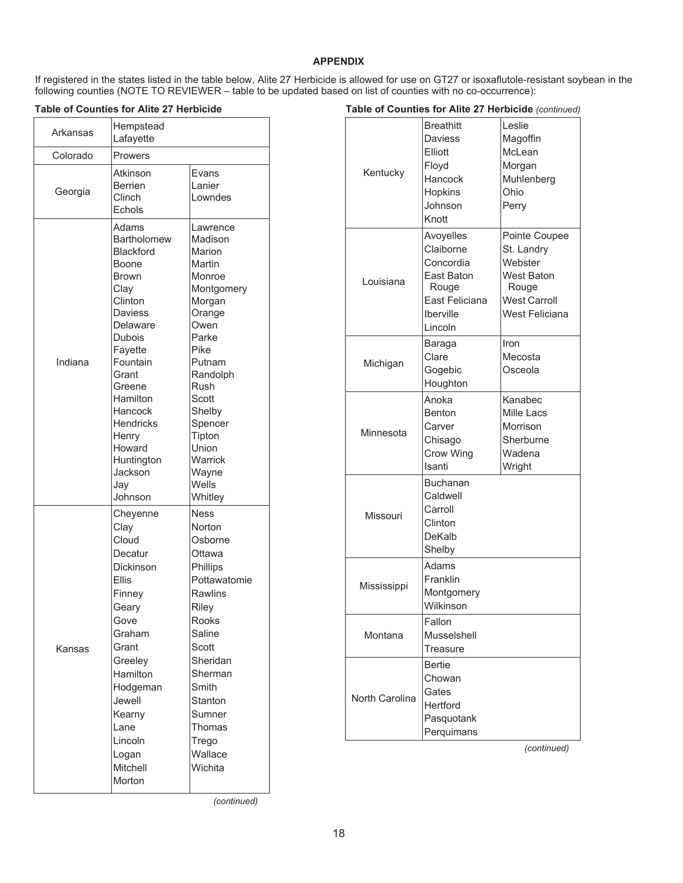#### **APPENDIX**

If registered in the states listed in the table below, Alite 27 Herbicide is allowed for use on GT27 or isoxaflutole-resistant soybean in the following counties (NOTE TO REVIEWER – table to be updated based on list of counties with no co-occurrence):

**Table of Counties for Alite 27 Herbicide** 

**Table of Counties for Alite 27 Herbicide** *(continued)*

| Arkansas | Hempstead<br>Lafayette                                                                                                                                                                                                                                                   |                                                                                                                                                                                                                                     |
|----------|--------------------------------------------------------------------------------------------------------------------------------------------------------------------------------------------------------------------------------------------------------------------------|-------------------------------------------------------------------------------------------------------------------------------------------------------------------------------------------------------------------------------------|
| Colorado | Prowers                                                                                                                                                                                                                                                                  |                                                                                                                                                                                                                                     |
| Georgia  | Atkinson<br><b>Berrien</b><br>Clinch<br>Echols                                                                                                                                                                                                                           | Evans<br>Lanier<br>Lowndes                                                                                                                                                                                                          |
| Indiana  | Adams<br><b>Bartholomew</b><br><b>Blackford</b><br>Boone<br>Brown<br>Clay<br>Clinton<br>Daviess<br>Delaware<br><b>Dubois</b><br>Fayette<br>Fountain<br>Grant<br>Greene<br>Hamilton<br>Hancock<br>Hendricks<br>Henry<br>Howard<br>Huntington<br>Jackson<br>Jay<br>Johnson | Lawrence<br>Madison<br>Marion<br>Martin<br>Monroe<br>Montgomery<br>Morgan<br>Orange<br>Owen<br>Parke<br>Pike<br>Putnam<br>Randolph<br>Rush<br>Scott<br>Shelby<br>Spencer<br>Tipton<br>Union<br>Warrick<br>Wayne<br>Wells<br>Whitley |
| Kansas   | Cheyenne<br>Clay<br>Cloud<br>Decatur<br>Dickinson<br><b>Fllis</b><br>Finney<br>Geary<br>Gove<br>Graham<br>Grant<br>Greeley<br>Hamilton<br>Hodgeman<br>Jewell<br>Kearny<br>Lane<br>Lincoln<br>Logan<br>Mitchell<br>Morton                                                 | <b>Ness</b><br>Norton<br>Osborne<br>Ottawa<br>Phillips<br>Pottawatomie<br><b>Rawlins</b><br>Riley<br>Rooks<br>Saline<br>Scott<br>Sheridan<br>Sherman<br>Smith<br>Stanton<br>Sumner<br>Thomas<br>Trego<br>Wallace<br>Wichita         |

| Kentucky       | <b>Breathitt</b><br>Daviess<br>Elliott<br>Floyd<br>Hancock<br>Hopkins<br>Johnson<br>Knott            | Leslie<br>Magoffin<br>McLean<br>Morgan<br>Muhlenberg<br>Ohio<br>Perry                                         |
|----------------|------------------------------------------------------------------------------------------------------|---------------------------------------------------------------------------------------------------------------|
| Louisiana      | Avoyelles<br>Claiborne<br>Concordia<br>East Baton<br>Rouge<br>East Feliciana<br>Iberville<br>Lincoln | Pointe Coupee<br>St. Landry<br>Webster<br><b>West Baton</b><br>Rouge<br><b>West Carroll</b><br>West Feliciana |
| Michigan       | Baraga<br>Clare<br>Gogebic<br>Houghton                                                               | Iron<br>Mecosta<br>Osceola                                                                                    |
| Minnesota      | Anoka<br><b>Benton</b><br>Carver<br>Chisago<br>Crow Wing<br>Isanti                                   | Kanabec<br><b>Mille Lacs</b><br>Morrison<br>Sherburne<br>Wadena<br>Wright                                     |
| Missouri       | Buchanan<br>Caldwell<br>Carroll<br>Clinton<br>DeKalb<br>Shelby                                       |                                                                                                               |
| Mississippi    | Adams<br>Franklin<br>Montgomery<br>Wilkinson                                                         |                                                                                                               |
| Montana        | Fallon<br>Musselshell<br>Treasure                                                                    |                                                                                                               |
| North Carolina | Bertie<br>Chowan<br>Gates<br>Hertford<br>Pasquotank<br>Perquimans                                    |                                                                                                               |

*(continued)* 

*(continued)*